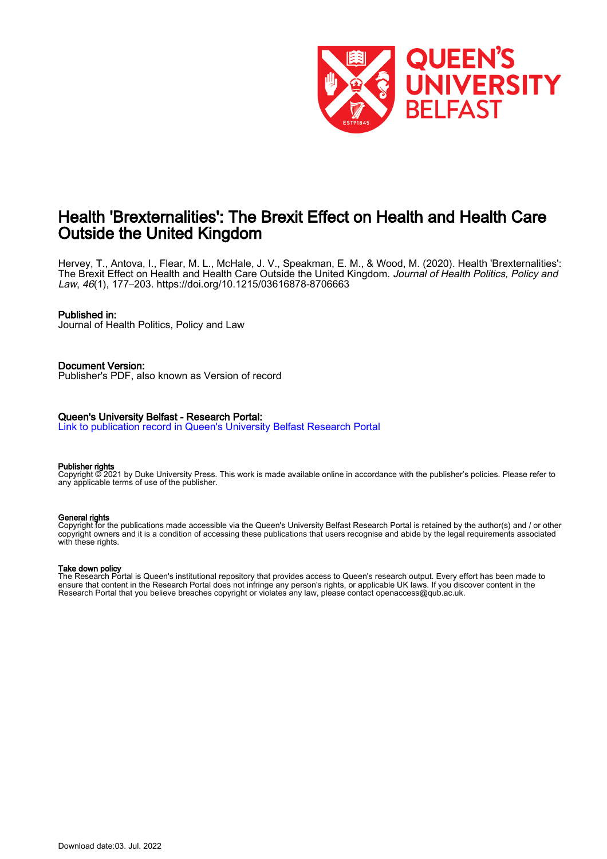

## Health 'Brexternalities': The Brexit Effect on Health and Health Care Outside the United Kingdom

Hervey, T., Antova, I., Flear, M. L., McHale, J. V., Speakman, E. M., & Wood, M. (2020). Health 'Brexternalities': The Brexit Effect on Health and Health Care Outside the United Kingdom. *Journal of Health Politics, Policy and* Law, 46(1), 177–203. <https://doi.org/10.1215/03616878-8706663>

#### Published in:

Journal of Health Politics, Policy and Law

#### Document Version:

Publisher's PDF, also known as Version of record

#### Queen's University Belfast - Research Portal:

[Link to publication record in Queen's University Belfast Research Portal](https://pure.qub.ac.uk/en/publications/ab340ce4-d102-489f-9671-13675352e7eb)

#### Publisher rights

Copyright © 2021 by Duke University Press. This work is made available online in accordance with the publisher's policies. Please refer to any applicable terms of use of the publisher.

#### General rights

Copyright for the publications made accessible via the Queen's University Belfast Research Portal is retained by the author(s) and / or other copyright owners and it is a condition of accessing these publications that users recognise and abide by the legal requirements associated with these rights.

#### Take down policy

The Research Portal is Queen's institutional repository that provides access to Queen's research output. Every effort has been made to ensure that content in the Research Portal does not infringe any person's rights, or applicable UK laws. If you discover content in the Research Portal that you believe breaches copyright or violates any law, please contact openaccess@qub.ac.uk.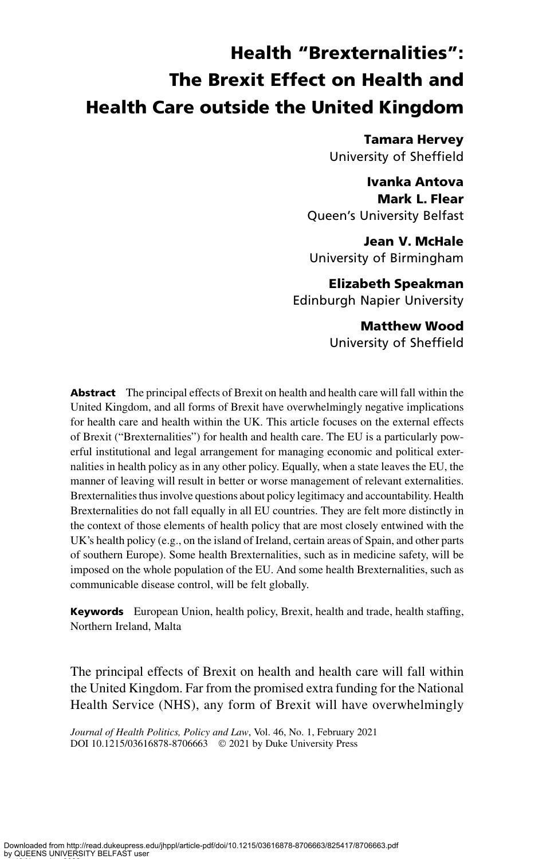# Health "Brexternalities": The Brexit Effect on Health and Health Care outside the United Kingdom

Tamara Hervey University of Sheffield

Ivanka Antova Mark L. Flear Queen's University Belfast

Jean V. McHale University of Birmingham

Elizabeth Speakman Edinburgh Napier University

> Matthew Wood University of Sheffield

**Abstract** The principal effects of Brexit on health and health care will fall within the United Kingdom, and all forms of Brexit have overwhelmingly negative implications for health care and health within the UK. This article focuses on the external effects of Brexit ("Brexternalities") for health and health care. The EU is a particularly powerful institutional and legal arrangement for managing economic and political externalities in health policy as in any other policy. Equally, when a state leaves the EU, the manner of leaving will result in better or worse management of relevant externalities. Brexternalities thus involve questions about policy legitimacy and accountability. Health Brexternalities do not fall equally in all EU countries. They are felt more distinctly in the context of those elements of health policy that are most closely entwined with the UK's health policy (e.g., on the island of Ireland, certain areas of Spain, and other parts of southern Europe). Some health Brexternalities, such as in medicine safety, will be imposed on the whole population of the EU. And some health Brexternalities, such as communicable disease control, will be felt globally.

**Keywords** European Union, health policy, Brexit, health and trade, health staffing, Northern Ireland, Malta

The principal effects of Brexit on health and health care will fall within the United Kingdom. Far from the promised extra funding for the National Health Service (NHS), any form of Brexit will have overwhelmingly

Journal of Health Politics, Policy and Law, Vol. 46, No. 1, February 2021 DOI 10.1215/03616878-8706663 © 2021 by Duke University Press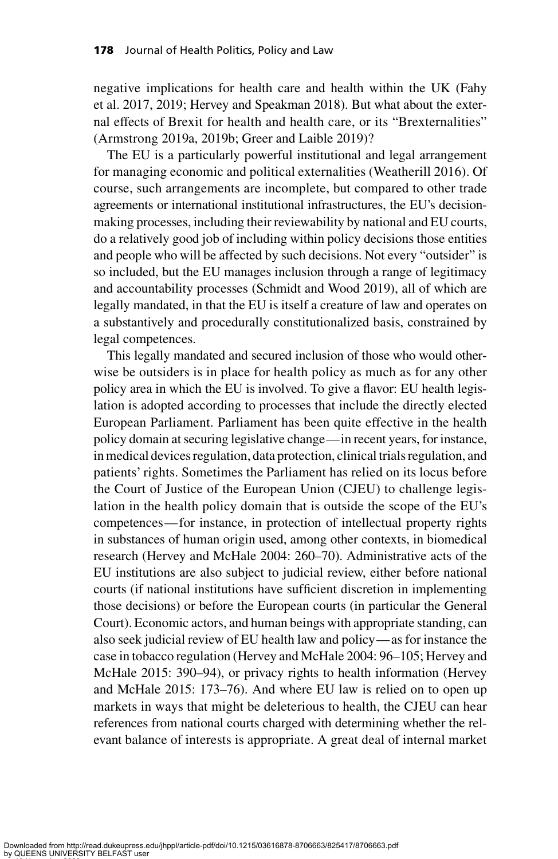negative implications for health care and health within the UK (Fahy et al. 2017, 2019; Hervey and Speakman 2018). But what about the external effects of Brexit for health and health care, or its "Brexternalities" (Armstrong 2019a, 2019b; Greer and Laible 2019)?

The EU is a particularly powerful institutional and legal arrangement for managing economic and political externalities (Weatherill 2016). Of course, such arrangements are incomplete, but compared to other trade agreements or international institutional infrastructures, the EU's decisionmaking processes, including their reviewability by national and EU courts, do a relatively good job of including within policy decisions those entities and people who will be affected by such decisions. Not every "outsider" is so included, but the EU manages inclusion through a range of legitimacy and accountability processes (Schmidt and Wood 2019), all of which are legally mandated, in that the EU is itself a creature of law and operates on a substantively and procedurally constitutionalized basis, constrained by legal competences.

This legally mandated and secured inclusion of those who would otherwise be outsiders is in place for health policy as much as for any other policy area in which the EU is involved. To give a flavor: EU health legislation is adopted according to processes that include the directly elected European Parliament. Parliament has been quite effective in the health policy domain at securing legislative change—in recent years, for instance, in medical devices regulation, data protection, clinical trials regulation, and patients' rights. Sometimes the Parliament has relied on its locus before the Court of Justice of the European Union (CJEU) to challenge legislation in the health policy domain that is outside the scope of the EU's competences—for instance, in protection of intellectual property rights in substances of human origin used, among other contexts, in biomedical research (Hervey and McHale 2004: 260–70). Administrative acts of the EU institutions are also subject to judicial review, either before national courts (if national institutions have sufficient discretion in implementing those decisions) or before the European courts (in particular the General Court). Economic actors, and human beings with appropriate standing, can also seek judicial review of EU health law and policy—as for instance the case in tobacco regulation (Hervey and McHale 2004: 96–105; Hervey and McHale 2015: 390–94), or privacy rights to health information (Hervey and McHale 2015: 173–76). And where EU law is relied on to open up markets in ways that might be deleterious to health, the CJEU can hear references from national courts charged with determining whether the relevant balance of interests is appropriate. A great deal of internal market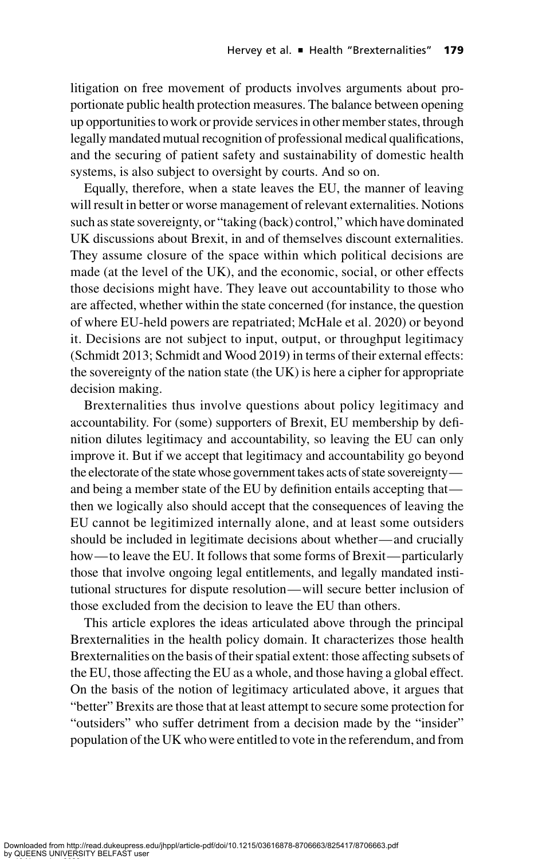litigation on free movement of products involves arguments about proportionate public health protection measures. The balance between opening up opportunities towork or provide services in other member states, through legally mandated mutual recognition of professional medical qualifications, and the securing of patient safety and sustainability of domestic health systems, is also subject to oversight by courts. And so on.

Equally, therefore, when a state leaves the EU, the manner of leaving will result in better or worse management of relevant externalities. Notions such as state sovereignty, or "taking (back) control," which have dominated UK discussions about Brexit, in and of themselves discount externalities. They assume closure of the space within which political decisions are made (at the level of the UK), and the economic, social, or other effects those decisions might have. They leave out accountability to those who are affected, whether within the state concerned (for instance, the question of where EU-held powers are repatriated; McHale et al. 2020) or beyond it. Decisions are not subject to input, output, or throughput legitimacy (Schmidt 2013; Schmidt and Wood 2019) in terms of their external effects: the sovereignty of the nation state (the UK) is here a cipher for appropriate decision making.

Brexternalities thus involve questions about policy legitimacy and accountability. For (some) supporters of Brexit, EU membership by definition dilutes legitimacy and accountability, so leaving the EU can only improve it. But if we accept that legitimacy and accountability go beyond the electorate of the statewhose government takes acts of state sovereignty and being a member state of the EU by definition entails accepting that then we logically also should accept that the consequences of leaving the EU cannot be legitimized internally alone, and at least some outsiders should be included in legitimate decisions about whether—and crucially how—to leave the EU. It follows that some forms of Brexit—particularly those that involve ongoing legal entitlements, and legally mandated institutional structures for dispute resolution—will secure better inclusion of those excluded from the decision to leave the EU than others.

This article explores the ideas articulated above through the principal Brexternalities in the health policy domain. It characterizes those health Brexternalities on the basis of their spatial extent: those affecting subsets of the EU, those affecting the EU as a whole, and those having a global effect. On the basis of the notion of legitimacy articulated above, it argues that "better" Brexits are those that at least attempt to secure some protection for "outsiders" who suffer detriment from a decision made by the "insider" population of the UK who were entitled to vote in the referendum, and from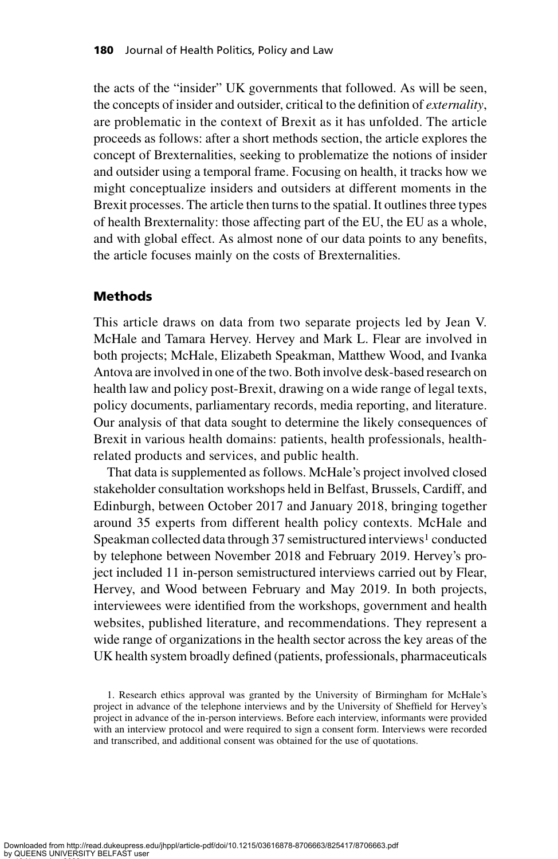the acts of the "insider" UK governments that followed. As will be seen, the concepts of insider and outsider, critical to the definition of externality, are problematic in the context of Brexit as it has unfolded. The article proceeds as follows: after a short methods section, the article explores the concept of Brexternalities, seeking to problematize the notions of insider and outsider using a temporal frame. Focusing on health, it tracks how we might conceptualize insiders and outsiders at different moments in the Brexit processes. The article then turns to the spatial. It outlines three types of health Brexternality: those affecting part of the EU, the EU as a whole, and with global effect. As almost none of our data points to any benefits, the article focuses mainly on the costs of Brexternalities.

#### Methods

This article draws on data from two separate projects led by Jean V. McHale and Tamara Hervey. Hervey and Mark L. Flear are involved in both projects; McHale, Elizabeth Speakman, Matthew Wood, and Ivanka Antova are involved in one of the two. Both involve desk-based research on health law and policy post-Brexit, drawing on a wide range of legal texts, policy documents, parliamentary records, media reporting, and literature. Our analysis of that data sought to determine the likely consequences of Brexit in various health domains: patients, health professionals, healthrelated products and services, and public health.

That data is supplemented as follows. McHale's project involved closed stakeholder consultation workshops held in Belfast, Brussels, Cardiff, and Edinburgh, between October 2017 and January 2018, bringing together around 35 experts from different health policy contexts. McHale and Speakman collected data through 37 semistructured interviews<sup>1</sup> conducted by telephone between November 2018 and February 2019. Hervey's project included 11 in-person semistructured interviews carried out by Flear, Hervey, and Wood between February and May 2019. In both projects, interviewees were identified from the workshops, government and health websites, published literature, and recommendations. They represent a wide range of organizations in the health sector across the key areas of the UK health system broadly defined (patients, professionals, pharmaceuticals

<sup>1.</sup> Research ethics approval was granted by the University of Birmingham for McHale's project in advance of the telephone interviews and by the University of Sheffield for Hervey's project in advance of the in-person interviews. Before each interview, informants were provided with an interview protocol and were required to sign a consent form. Interviews were recorded and transcribed, and additional consent was obtained for the use of quotations.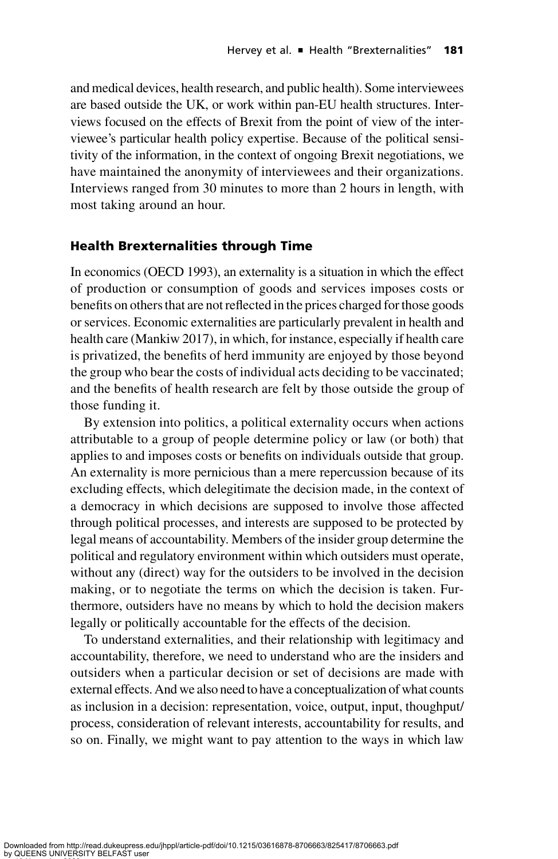and medical devices, health research, and public health). Some interviewees are based outside the UK, or work within pan-EU health structures. Interviews focused on the effects of Brexit from the point of view of the interviewee's particular health policy expertise. Because of the political sensitivity of the information, in the context of ongoing Brexit negotiations, we have maintained the anonymity of interviewees and their organizations. Interviews ranged from 30 minutes to more than 2 hours in length, with most taking around an hour.

## Health Brexternalities through Time

In economics (OECD 1993), an externality is a situation in which the effect of production or consumption of goods and services imposes costs or benefits on others that are not reflected in the prices charged for those goods or services. Economic externalities are particularly prevalent in health and health care (Mankiw 2017), in which, for instance, especially if health care is privatized, the benefits of herd immunity are enjoyed by those beyond the group who bear the costs of individual acts deciding to be vaccinated; and the benefits of health research are felt by those outside the group of those funding it.

By extension into politics, a political externality occurs when actions attributable to a group of people determine policy or law (or both) that applies to and imposes costs or benefits on individuals outside that group. An externality is more pernicious than a mere repercussion because of its excluding effects, which delegitimate the decision made, in the context of a democracy in which decisions are supposed to involve those affected through political processes, and interests are supposed to be protected by legal means of accountability. Members of the insider group determine the political and regulatory environment within which outsiders must operate, without any (direct) way for the outsiders to be involved in the decision making, or to negotiate the terms on which the decision is taken. Furthermore, outsiders have no means by which to hold the decision makers legally or politically accountable for the effects of the decision.

To understand externalities, and their relationship with legitimacy and accountability, therefore, we need to understand who are the insiders and outsiders when a particular decision or set of decisions are made with external effects. And we also need to have a conceptualization of what counts as inclusion in a decision: representation, voice, output, input, thoughput/ process, consideration of relevant interests, accountability for results, and so on. Finally, we might want to pay attention to the ways in which law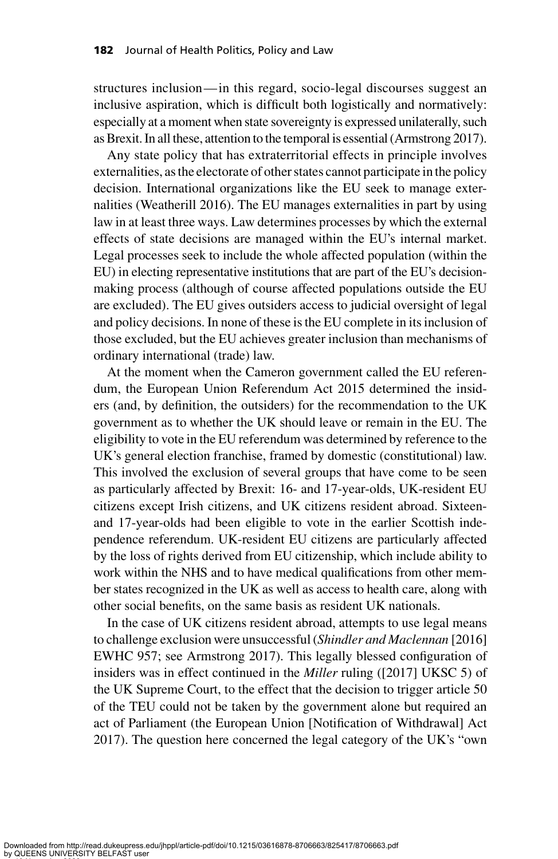structures inclusion—in this regard, socio-legal discourses suggest an inclusive aspiration, which is difficult both logistically and normatively: especially at a moment when state sovereignty is expressed unilaterally, such as Brexit. In all these, attention to the temporal is essential (Armstrong 2017).

Any state policy that has extraterritorial effects in principle involves externalities, as the electorate of other states cannot participate in the policy decision. International organizations like the EU seek to manage externalities (Weatherill 2016). The EU manages externalities in part by using law in at least three ways. Law determines processes by which the external effects of state decisions are managed within the EU's internal market. Legal processes seek to include the whole affected population (within the EU) in electing representative institutions that are part of the EU's decisionmaking process (although of course affected populations outside the EU are excluded). The EU gives outsiders access to judicial oversight of legal and policy decisions. In none of these is the EU complete in its inclusion of those excluded, but the EU achieves greater inclusion than mechanisms of ordinary international (trade) law.

At the moment when the Cameron government called the EU referendum, the European Union Referendum Act 2015 determined the insiders (and, by definition, the outsiders) for the recommendation to the UK government as to whether the UK should leave or remain in the EU. The eligibility to vote in the EU referendum was determined by reference to the UK's general election franchise, framed by domestic (constitutional) law. This involved the exclusion of several groups that have come to be seen as particularly affected by Brexit: 16- and 17-year-olds, UK-resident EU citizens except Irish citizens, and UK citizens resident abroad. Sixteenand 17-year-olds had been eligible to vote in the earlier Scottish independence referendum. UK-resident EU citizens are particularly affected by the loss of rights derived from EU citizenship, which include ability to work within the NHS and to have medical qualifications from other member states recognized in the UK as well as access to health care, along with other social benefits, on the same basis as resident UK nationals.

In the case of UK citizens resident abroad, attempts to use legal means to challenge exclusion were unsuccessful (Shindler and Maclennan [2016] EWHC 957; see Armstrong 2017). This legally blessed configuration of insiders was in effect continued in the Miller ruling ([2017] UKSC 5) of the UK Supreme Court, to the effect that the decision to trigger article 50 of the TEU could not be taken by the government alone but required an act of Parliament (the European Union [Notification of Withdrawal] Act 2017). The question here concerned the legal category of the UK's "own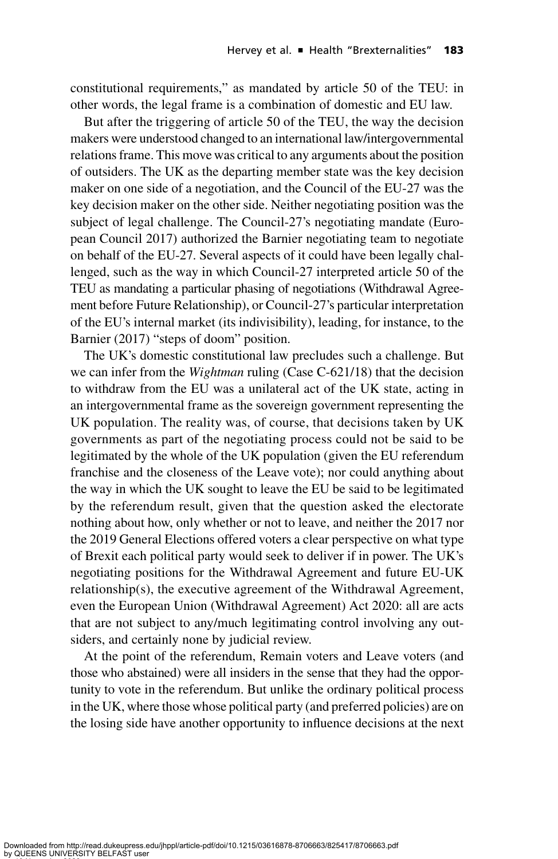constitutional requirements," as mandated by article 50 of the TEU: in other words, the legal frame is a combination of domestic and EU law.

But after the triggering of article 50 of the TEU, the way the decision makers were understood changed to an international law/intergovernmental relations frame. This move was critical to any arguments about the position of outsiders. The UK as the departing member state was the key decision maker on one side of a negotiation, and the Council of the EU-27 was the key decision maker on the other side. Neither negotiating position was the subject of legal challenge. The Council-27's negotiating mandate (European Council 2017) authorized the Barnier negotiating team to negotiate on behalf of the EU-27. Several aspects of it could have been legally challenged, such as the way in which Council-27 interpreted article 50 of the TEU as mandating a particular phasing of negotiations (Withdrawal Agreement before Future Relationship), or Council-27's particular interpretation of the EU's internal market (its indivisibility), leading, for instance, to the Barnier (2017) "steps of doom" position.

The UK's domestic constitutional law precludes such a challenge. But we can infer from the *Wightman* ruling (Case C-621/18) that the decision to withdraw from the EU was a unilateral act of the UK state, acting in an intergovernmental frame as the sovereign government representing the UK population. The reality was, of course, that decisions taken by UK governments as part of the negotiating process could not be said to be legitimated by the whole of the UK population (given the EU referendum franchise and the closeness of the Leave vote); nor could anything about the way in which the UK sought to leave the EU be said to be legitimated by the referendum result, given that the question asked the electorate nothing about how, only whether or not to leave, and neither the 2017 nor the 2019 General Elections offered voters a clear perspective on what type of Brexit each political party would seek to deliver if in power. The UK's negotiating positions for the Withdrawal Agreement and future EU-UK relationship(s), the executive agreement of the Withdrawal Agreement, even the European Union (Withdrawal Agreement) Act 2020: all are acts that are not subject to any/much legitimating control involving any outsiders, and certainly none by judicial review.

At the point of the referendum, Remain voters and Leave voters (and those who abstained) were all insiders in the sense that they had the opportunity to vote in the referendum. But unlike the ordinary political process in the UK, where those whose political party (and preferred policies) are on the losing side have another opportunity to influence decisions at the next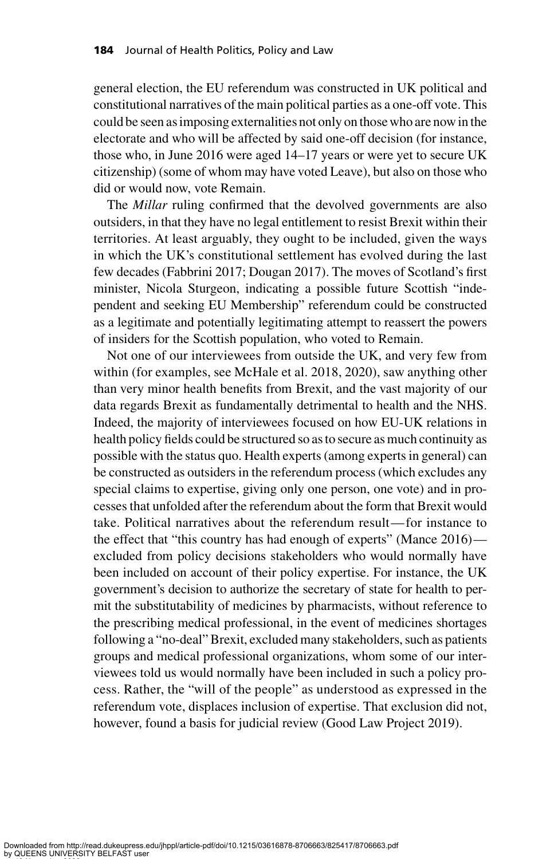general election, the EU referendum was constructed in UK political and constitutional narratives of the main political parties as a one-off vote. This could be seen as imposing externalities not only on those who are now in the electorate and who will be affected by said one-off decision (for instance, those who, in June 2016 were aged 14–17 years or were yet to secure UK citizenship) (some of whom may have voted Leave), but also on those who did or would now, vote Remain.

The Millar ruling confirmed that the devolved governments are also outsiders, in that they have no legal entitlement to resist Brexit within their territories. At least arguably, they ought to be included, given the ways in which the UK's constitutional settlement has evolved during the last few decades (Fabbrini 2017; Dougan 2017). The moves of Scotland's first minister, Nicola Sturgeon, indicating a possible future Scottish "independent and seeking EU Membership" referendum could be constructed as a legitimate and potentially legitimating attempt to reassert the powers of insiders for the Scottish population, who voted to Remain.

Not one of our interviewees from outside the UK, and very few from within (for examples, see McHale et al. 2018, 2020), saw anything other than very minor health benefits from Brexit, and the vast majority of our data regards Brexit as fundamentally detrimental to health and the NHS. Indeed, the majority of interviewees focused on how EU-UK relations in health policy fields could be structured so as to secure as much continuity as possible with the status quo. Health experts (among experts in general) can be constructed as outsiders in the referendum process (which excludes any special claims to expertise, giving only one person, one vote) and in processes that unfolded after the referendum about the form that Brexit would take. Political narratives about the referendum result—for instance to the effect that "this country has had enough of experts" (Mance 2016) excluded from policy decisions stakeholders who would normally have been included on account of their policy expertise. For instance, the UK government's decision to authorize the secretary of state for health to permit the substitutability of medicines by pharmacists, without reference to the prescribing medical professional, in the event of medicines shortages following a "no-deal" Brexit, excluded many stakeholders, such as patients groups and medical professional organizations, whom some of our interviewees told us would normally have been included in such a policy process. Rather, the "will of the people" as understood as expressed in the referendum vote, displaces inclusion of expertise. That exclusion did not, however, found a basis for judicial review (Good Law Project 2019).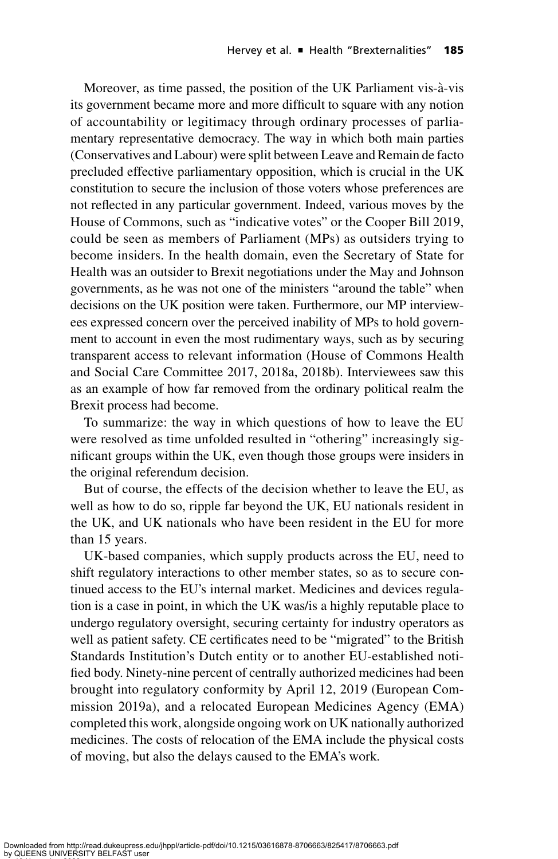Moreover, as time passed, the position of the UK Parliament vis-à-vis its government became more and more difficult to square with any notion of accountability or legitimacy through ordinary processes of parliamentary representative democracy. The way in which both main parties (Conservatives and Labour) were split between Leave and Remain de facto precluded effective parliamentary opposition, which is crucial in the UK constitution to secure the inclusion of those voters whose preferences are not reflected in any particular government. Indeed, various moves by the House of Commons, such as "indicative votes" or the Cooper Bill 2019, could be seen as members of Parliament (MPs) as outsiders trying to become insiders. In the health domain, even the Secretary of State for Health was an outsider to Brexit negotiations under the May and Johnson governments, as he was not one of the ministers "around the table" when decisions on the UK position were taken. Furthermore, our MP interviewees expressed concern over the perceived inability of MPs to hold government to account in even the most rudimentary ways, such as by securing transparent access to relevant information (House of Commons Health and Social Care Committee 2017, 2018a, 2018b). Interviewees saw this as an example of how far removed from the ordinary political realm the Brexit process had become.

To summarize: the way in which questions of how to leave the EU were resolved as time unfolded resulted in "othering" increasingly significant groups within the UK, even though those groups were insiders in the original referendum decision.

But of course, the effects of the decision whether to leave the EU, as well as how to do so, ripple far beyond the UK, EU nationals resident in the UK, and UK nationals who have been resident in the EU for more than 15 years.

UK-based companies, which supply products across the EU, need to shift regulatory interactions to other member states, so as to secure continued access to the EU's internal market. Medicines and devices regulation is a case in point, in which the UK was/is a highly reputable place to undergo regulatory oversight, securing certainty for industry operators as well as patient safety. CE certificates need to be "migrated" to the British Standards Institution's Dutch entity or to another EU-established notified body. Ninety-nine percent of centrally authorized medicines had been brought into regulatory conformity by April 12, 2019 (European Commission 2019a), and a relocated European Medicines Agency (EMA) completed this work, alongside ongoing work on UK nationally authorized medicines. The costs of relocation of the EMA include the physical costs of moving, but also the delays caused to the EMA's work.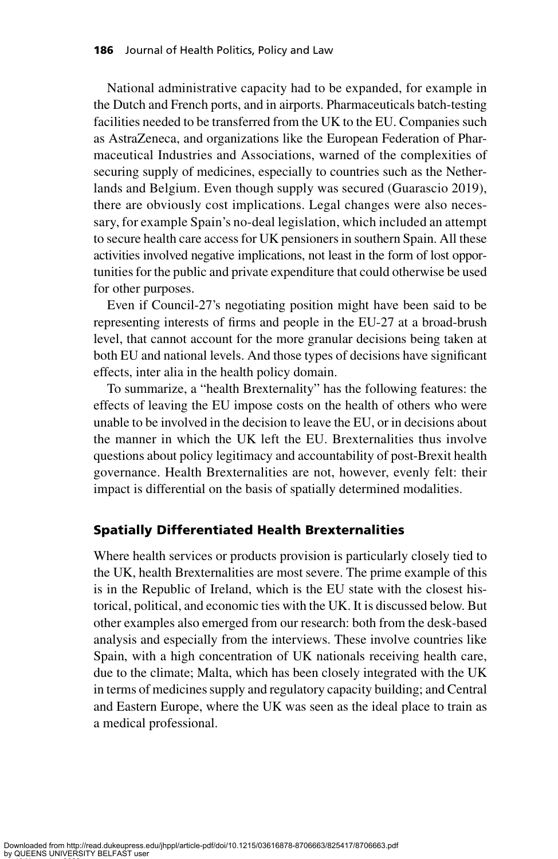National administrative capacity had to be expanded, for example in the Dutch and French ports, and in airports. Pharmaceuticals batch-testing facilities needed to be transferred from the UK to the EU. Companies such as AstraZeneca, and organizations like the European Federation of Pharmaceutical Industries and Associations, warned of the complexities of securing supply of medicines, especially to countries such as the Netherlands and Belgium. Even though supply was secured (Guarascio 2019), there are obviously cost implications. Legal changes were also necessary, for example Spain's no-deal legislation, which included an attempt to secure health care access for UK pensioners in southern Spain. All these activities involved negative implications, not least in the form of lost opportunities for the public and private expenditure that could otherwise be used for other purposes.

Even if Council-27's negotiating position might have been said to be representing interests of firms and people in the EU-27 at a broad-brush level, that cannot account for the more granular decisions being taken at both EU and national levels. And those types of decisions have significant effects, inter alia in the health policy domain.

To summarize, a "health Brexternality" has the following features: the effects of leaving the EU impose costs on the health of others who were unable to be involved in the decision to leave the EU, or in decisions about the manner in which the UK left the EU. Brexternalities thus involve questions about policy legitimacy and accountability of post-Brexit health governance. Health Brexternalities are not, however, evenly felt: their impact is differential on the basis of spatially determined modalities.

## Spatially Differentiated Health Brexternalities

Where health services or products provision is particularly closely tied to the UK, health Brexternalities are most severe. The prime example of this is in the Republic of Ireland, which is the EU state with the closest historical, political, and economic ties with the UK. It is discussed below. But other examples also emerged from our research: both from the desk-based analysis and especially from the interviews. These involve countries like Spain, with a high concentration of UK nationals receiving health care, due to the climate; Malta, which has been closely integrated with the UK in terms of medicines supply and regulatory capacity building; and Central and Eastern Europe, where the UK was seen as the ideal place to train as a medical professional.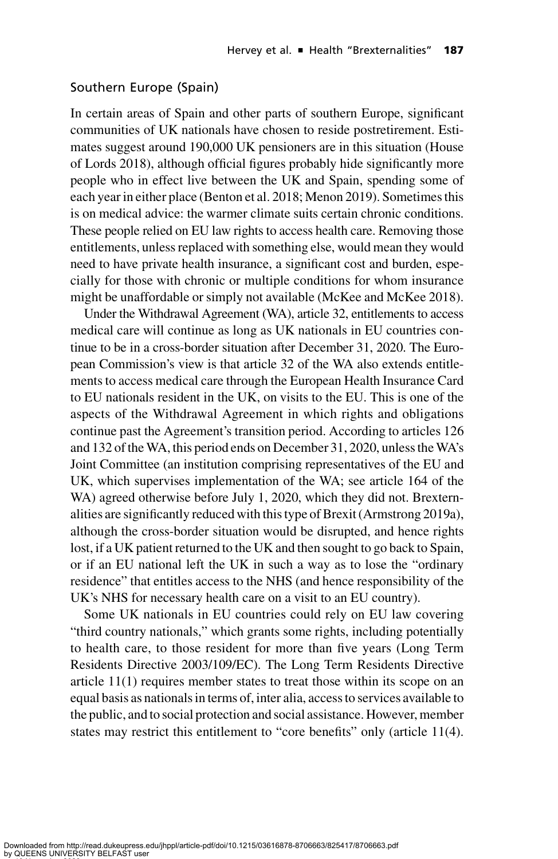#### Southern Europe (Spain)

In certain areas of Spain and other parts of southern Europe, significant communities of UK nationals have chosen to reside postretirement. Estimates suggest around 190,000 UK pensioners are in this situation (House of Lords 2018), although official figures probably hide significantly more people who in effect live between the UK and Spain, spending some of each year in either place (Benton et al. 2018; Menon 2019). Sometimes this is on medical advice: the warmer climate suits certain chronic conditions. These people relied on EU law rights to access health care. Removing those entitlements, unless replaced with something else, would mean they would need to have private health insurance, a significant cost and burden, especially for those with chronic or multiple conditions for whom insurance might be unaffordable or simply not available (McKee and McKee 2018).

Under the Withdrawal Agreement (WA), article 32, entitlements to access medical care will continue as long as UK nationals in EU countries continue to be in a cross-border situation after December 31, 2020. The European Commission's view is that article 32 of the WA also extends entitlements to access medical care through the European Health Insurance Card to EU nationals resident in the UK, on visits to the EU. This is one of the aspects of the Withdrawal Agreement in which rights and obligations continue past the Agreement's transition period. According to articles 126 and 132 of the WA, this period ends on December 31, 2020, unless the WA's Joint Committee (an institution comprising representatives of the EU and UK, which supervises implementation of the WA; see article 164 of the WA) agreed otherwise before July 1, 2020, which they did not. Brexternalities are significantly reduced with this type of Brexit (Armstrong 2019a), although the cross-border situation would be disrupted, and hence rights lost, if a UK patient returned to the UK and then sought to go back to Spain, or if an EU national left the UK in such a way as to lose the "ordinary residence" that entitles access to the NHS (and hence responsibility of the UK's NHS for necessary health care on a visit to an EU country).

Some UK nationals in EU countries could rely on EU law covering "third country nationals," which grants some rights, including potentially to health care, to those resident for more than five years (Long Term Residents Directive 2003/109/EC). The Long Term Residents Directive article 11(1) requires member states to treat those within its scope on an equal basis as nationals in terms of, inter alia, access to services available to the public, and to social protection and social assistance. However, member states may restrict this entitlement to "core benefits" only (article 11(4).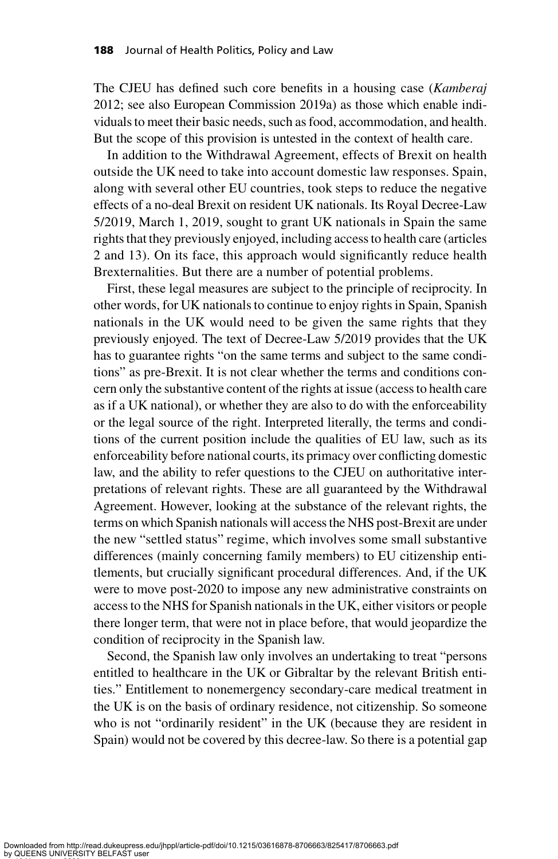The CJEU has defined such core benefits in a housing case (Kamberaj 2012; see also European Commission 2019a) as those which enable individuals to meet their basic needs, such as food, accommodation, and health. But the scope of this provision is untested in the context of health care.

In addition to the Withdrawal Agreement, effects of Brexit on health outside the UK need to take into account domestic law responses. Spain, along with several other EU countries, took steps to reduce the negative effects of a no-deal Brexit on resident UK nationals. Its Royal Decree-Law 5/2019, March 1, 2019, sought to grant UK nationals in Spain the same rights that they previously enjoyed, including access to health care (articles 2 and 13). On its face, this approach would significantly reduce health Brexternalities. But there are a number of potential problems.

First, these legal measures are subject to the principle of reciprocity. In other words, for UK nationals to continue to enjoy rights in Spain, Spanish nationals in the UK would need to be given the same rights that they previously enjoyed. The text of Decree-Law 5/2019 provides that the UK has to guarantee rights "on the same terms and subject to the same conditions" as pre-Brexit. It is not clear whether the terms and conditions concern only the substantive content of the rights at issue (access to health care as if a UK national), or whether they are also to do with the enforceability or the legal source of the right. Interpreted literally, the terms and conditions of the current position include the qualities of EU law, such as its enforceability before national courts, its primacy over conflicting domestic law, and the ability to refer questions to the CJEU on authoritative interpretations of relevant rights. These are all guaranteed by the Withdrawal Agreement. However, looking at the substance of the relevant rights, the terms on which Spanish nationals will access the NHS post-Brexit are under the new "settled status" regime, which involves some small substantive differences (mainly concerning family members) to EU citizenship entitlements, but crucially significant procedural differences. And, if the UK were to move post-2020 to impose any new administrative constraints on access to the NHS for Spanish nationals in the UK, either visitors or people there longer term, that were not in place before, that would jeopardize the condition of reciprocity in the Spanish law.

Second, the Spanish law only involves an undertaking to treat "persons entitled to healthcare in the UK or Gibraltar by the relevant British entities." Entitlement to nonemergency secondary-care medical treatment in the UK is on the basis of ordinary residence, not citizenship. So someone who is not "ordinarily resident" in the UK (because they are resident in Spain) would not be covered by this decree-law. So there is a potential gap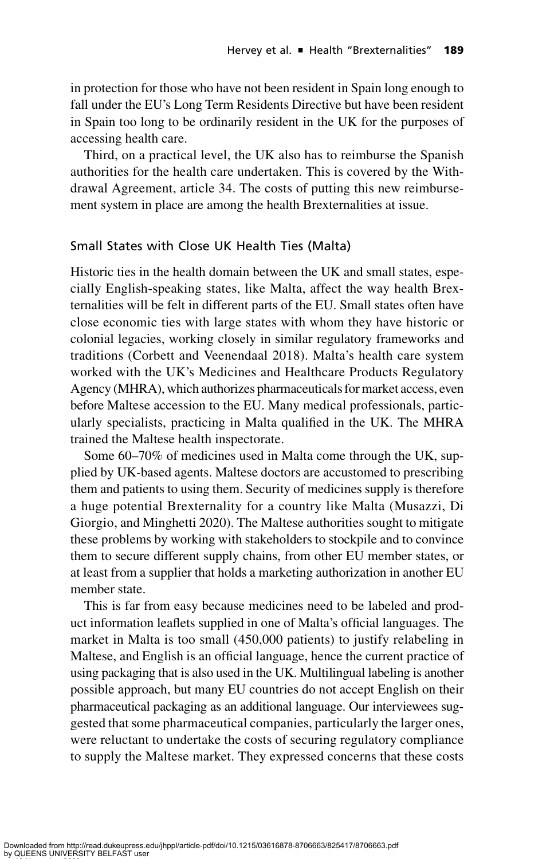in protection for those who have not been resident in Spain long enough to fall under the EU's Long Term Residents Directive but have been resident in Spain too long to be ordinarily resident in the UK for the purposes of accessing health care.

Third, on a practical level, the UK also has to reimburse the Spanish authorities for the health care undertaken. This is covered by the Withdrawal Agreement, article 34. The costs of putting this new reimbursement system in place are among the health Brexternalities at issue.

## Small States with Close UK Health Ties (Malta)

Historic ties in the health domain between the UK and small states, especially English-speaking states, like Malta, affect the way health Brexternalities will be felt in different parts of the EU. Small states often have close economic ties with large states with whom they have historic or colonial legacies, working closely in similar regulatory frameworks and traditions (Corbett and Veenendaal 2018). Malta's health care system worked with the UK's Medicines and Healthcare Products Regulatory Agency (MHRA), which authorizes pharmaceuticals for market access, even before Maltese accession to the EU. Many medical professionals, particularly specialists, practicing in Malta qualified in the UK. The MHRA trained the Maltese health inspectorate.

Some 60–70% of medicines used in Malta come through the UK, supplied by UK-based agents. Maltese doctors are accustomed to prescribing them and patients to using them. Security of medicines supply is therefore a huge potential Brexternality for a country like Malta (Musazzi, Di Giorgio, and Minghetti 2020). The Maltese authorities sought to mitigate these problems by working with stakeholders to stockpile and to convince them to secure different supply chains, from other EU member states, or at least from a supplier that holds a marketing authorization in another EU member state.

This is far from easy because medicines need to be labeled and product information leaflets supplied in one of Malta's official languages. The market in Malta is too small (450,000 patients) to justify relabeling in Maltese, and English is an official language, hence the current practice of using packaging that is also used in the UK. Multilingual labeling is another possible approach, but many EU countries do not accept English on their pharmaceutical packaging as an additional language. Our interviewees suggested that some pharmaceutical companies, particularly the larger ones, were reluctant to undertake the costs of securing regulatory compliance to supply the Maltese market. They expressed concerns that these costs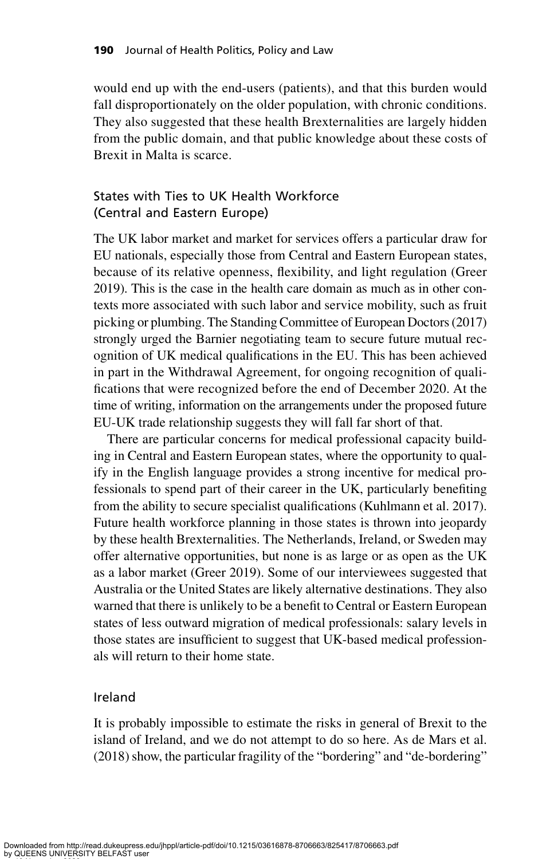would end up with the end-users (patients), and that this burden would fall disproportionately on the older population, with chronic conditions. They also suggested that these health Brexternalities are largely hidden from the public domain, and that public knowledge about these costs of Brexit in Malta is scarce.

## States with Ties to UK Health Workforce (Central and Eastern Europe)

The UK labor market and market for services offers a particular draw for EU nationals, especially those from Central and Eastern European states, because of its relative openness, flexibility, and light regulation (Greer 2019). This is the case in the health care domain as much as in other contexts more associated with such labor and service mobility, such as fruit picking or plumbing. The Standing Committee of European Doctors (2017) strongly urged the Barnier negotiating team to secure future mutual recognition of UK medical qualifications in the EU. This has been achieved in part in the Withdrawal Agreement, for ongoing recognition of qualifications that were recognized before the end of December 2020. At the time of writing, information on the arrangements under the proposed future EU-UK trade relationship suggests they will fall far short of that.

There are particular concerns for medical professional capacity building in Central and Eastern European states, where the opportunity to qualify in the English language provides a strong incentive for medical professionals to spend part of their career in the UK, particularly benefiting from the ability to secure specialist qualifications (Kuhlmann et al. 2017). Future health workforce planning in those states is thrown into jeopardy by these health Brexternalities. The Netherlands, Ireland, or Sweden may offer alternative opportunities, but none is as large or as open as the UK as a labor market (Greer 2019). Some of our interviewees suggested that Australia or the United States are likely alternative destinations. They also warned that there is unlikely to be a benefit to Central or Eastern European states of less outward migration of medical professionals: salary levels in those states are insufficient to suggest that UK-based medical professionals will return to their home state.

## Ireland

It is probably impossible to estimate the risks in general of Brexit to the island of Ireland, and we do not attempt to do so here. As de Mars et al. (2018) show, the particular fragility of the "bordering" and "de-bordering"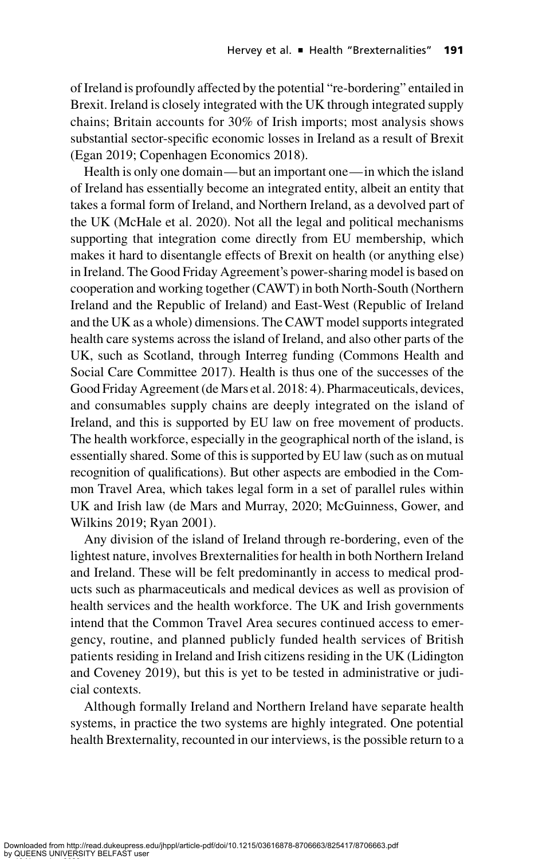of Ireland is profoundly affected by the potential "re-bordering" entailed in Brexit. Ireland is closely integrated with the UK through integrated supply chains; Britain accounts for 30% of Irish imports; most analysis shows substantial sector-specific economic losses in Ireland as a result of Brexit (Egan 2019; Copenhagen Economics 2018).

Health is only one domain—but an important one—in which the island of Ireland has essentially become an integrated entity, albeit an entity that takes a formal form of Ireland, and Northern Ireland, as a devolved part of the UK (McHale et al. 2020). Not all the legal and political mechanisms supporting that integration come directly from EU membership, which makes it hard to disentangle effects of Brexit on health (or anything else) in Ireland. The Good Friday Agreement's power-sharing model is based on cooperation and working together (CAWT) in both North-South (Northern Ireland and the Republic of Ireland) and East-West (Republic of Ireland and the UK as a whole) dimensions. The CAWT model supports integrated health care systems across the island of Ireland, and also other parts of the UK, such as Scotland, through Interreg funding (Commons Health and Social Care Committee 2017). Health is thus one of the successes of the Good Friday Agreement (de Mars et al. 2018: 4). Pharmaceuticals, devices, and consumables supply chains are deeply integrated on the island of Ireland, and this is supported by EU law on free movement of products. The health workforce, especially in the geographical north of the island, is essentially shared. Some of this is supported by EU law (such as on mutual recognition of qualifications). But other aspects are embodied in the Common Travel Area, which takes legal form in a set of parallel rules within UK and Irish law (de Mars and Murray, 2020; McGuinness, Gower, and Wilkins 2019; Ryan 2001).

Any division of the island of Ireland through re-bordering, even of the lightest nature, involves Brexternalities for health in both Northern Ireland and Ireland. These will be felt predominantly in access to medical products such as pharmaceuticals and medical devices as well as provision of health services and the health workforce. The UK and Irish governments intend that the Common Travel Area secures continued access to emergency, routine, and planned publicly funded health services of British patients residing in Ireland and Irish citizens residing in the UK (Lidington and Coveney 2019), but this is yet to be tested in administrative or judicial contexts.

Although formally Ireland and Northern Ireland have separate health systems, in practice the two systems are highly integrated. One potential health Brexternality, recounted in our interviews, is the possible return to a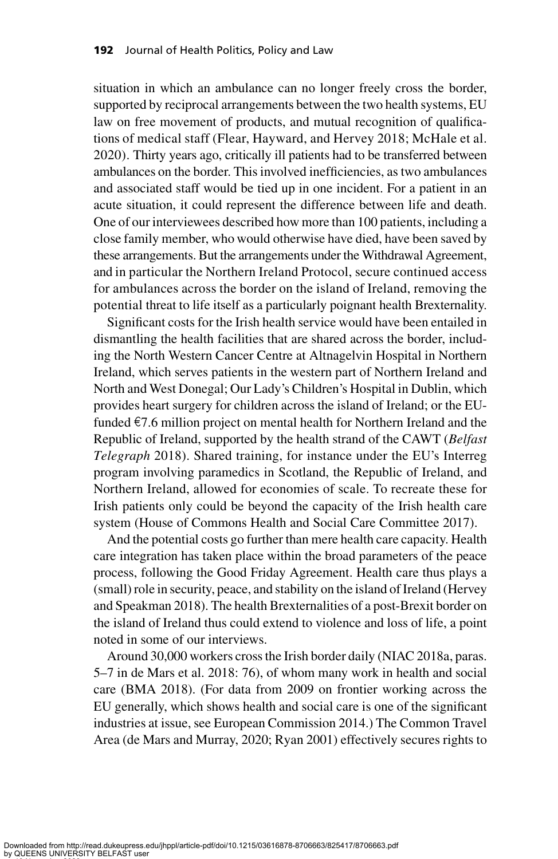situation in which an ambulance can no longer freely cross the border, supported by reciprocal arrangements between the two health systems, EU law on free movement of products, and mutual recognition of qualifications of medical staff (Flear, Hayward, and Hervey 2018; McHale et al. 2020). Thirty years ago, critically ill patients had to be transferred between ambulances on the border. This involved inefficiencies, as two ambulances and associated staff would be tied up in one incident. For a patient in an acute situation, it could represent the difference between life and death. One of our interviewees described how more than 100 patients, including a close family member, who would otherwise have died, have been saved by these arrangements. But the arrangements under the Withdrawal Agreement, and in particular the Northern Ireland Protocol, secure continued access for ambulances across the border on the island of Ireland, removing the potential threat to life itself as a particularly poignant health Brexternality.

Significant costs for the Irish health service would have been entailed in dismantling the health facilities that are shared across the border, including the North Western Cancer Centre at Altnagelvin Hospital in Northern Ireland, which serves patients in the western part of Northern Ireland and North and West Donegal; Our Lady's Children's Hospital in Dublin, which provides heart surgery for children across the island of Ireland; or the EUfunded  $\epsilon$ 7.6 million project on mental health for Northern Ireland and the Republic of Ireland, supported by the health strand of the CAWT (Belfast Telegraph 2018). Shared training, for instance under the EU's Interreg program involving paramedics in Scotland, the Republic of Ireland, and Northern Ireland, allowed for economies of scale. To recreate these for Irish patients only could be beyond the capacity of the Irish health care system (House of Commons Health and Social Care Committee 2017).

And the potential costs go further than mere health care capacity. Health care integration has taken place within the broad parameters of the peace process, following the Good Friday Agreement. Health care thus plays a (small) role in security, peace, and stability on the island of Ireland (Hervey and Speakman 2018). The health Brexternalities of a post-Brexit border on the island of Ireland thus could extend to violence and loss of life, a point noted in some of our interviews.

Around 30,000 workers cross the Irish border daily (NIAC 2018a, paras. 5–7 in de Mars et al. 2018: 76), of whom many work in health and social care (BMA 2018). (For data from 2009 on frontier working across the EU generally, which shows health and social care is one of the significant industries at issue, see European Commission 2014.) The Common Travel Area (de Mars and Murray, 2020; Ryan 2001) effectively secures rights to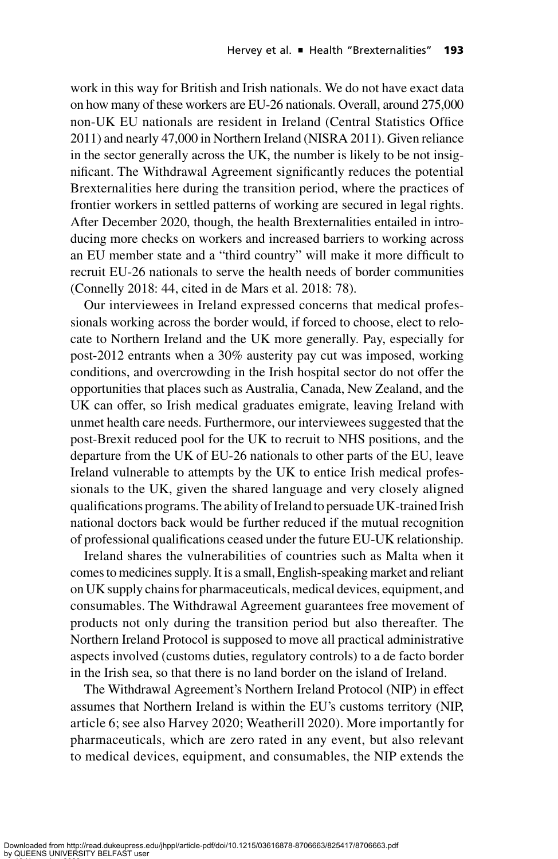work in this way for British and Irish nationals. We do not have exact data on how many of these workers are EU-26 nationals. Overall, around 275,000 non-UK EU nationals are resident in Ireland (Central Statistics Office 2011) and nearly 47,000 in Northern Ireland (NISRA 2011). Given reliance in the sector generally across the UK, the number is likely to be not insignificant. The Withdrawal Agreement significantly reduces the potential Brexternalities here during the transition period, where the practices of frontier workers in settled patterns of working are secured in legal rights. After December 2020, though, the health Brexternalities entailed in introducing more checks on workers and increased barriers to working across an EU member state and a "third country" will make it more difficult to recruit EU-26 nationals to serve the health needs of border communities (Connelly 2018: 44, cited in de Mars et al. 2018: 78).

Our interviewees in Ireland expressed concerns that medical professionals working across the border would, if forced to choose, elect to relocate to Northern Ireland and the UK more generally. Pay, especially for post-2012 entrants when a 30% austerity pay cut was imposed, working conditions, and overcrowding in the Irish hospital sector do not offer the opportunities that places such as Australia, Canada, New Zealand, and the UK can offer, so Irish medical graduates emigrate, leaving Ireland with unmet health care needs. Furthermore, our interviewees suggested that the post-Brexit reduced pool for the UK to recruit to NHS positions, and the departure from the UK of EU-26 nationals to other parts of the EU, leave Ireland vulnerable to attempts by the UK to entice Irish medical professionals to the UK, given the shared language and very closely aligned qualifications programs. The ability of Ireland to persuade UK-trained Irish national doctors back would be further reduced if the mutual recognition of professional qualifications ceased under the future EU-UK relationship.

Ireland shares the vulnerabilities of countries such as Malta when it comes to medicines supply. It is a small, English-speaking market and reliant on UK supply chains for pharmaceuticals, medical devices, equipment, and consumables. The Withdrawal Agreement guarantees free movement of products not only during the transition period but also thereafter. The Northern Ireland Protocol is supposed to move all practical administrative aspects involved (customs duties, regulatory controls) to a de facto border in the Irish sea, so that there is no land border on the island of Ireland.

The Withdrawal Agreement's Northern Ireland Protocol (NIP) in effect assumes that Northern Ireland is within the EU's customs territory (NIP, article 6; see also Harvey 2020; Weatherill 2020). More importantly for pharmaceuticals, which are zero rated in any event, but also relevant to medical devices, equipment, and consumables, the NIP extends the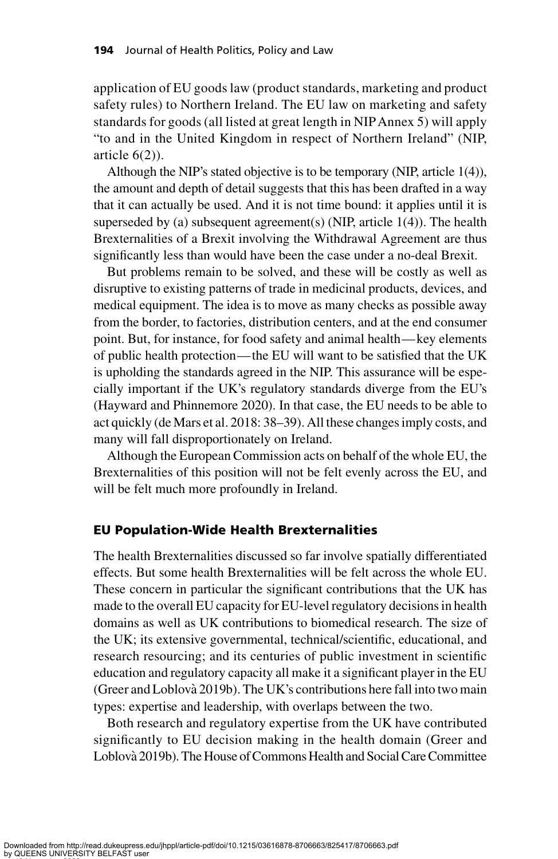application of EU goods law (product standards, marketing and product safety rules) to Northern Ireland. The EU law on marketing and safety standards for goods (all listed at great length in NIPAnnex 5) will apply "to and in the United Kingdom in respect of Northern Ireland" (NIP, article 6(2)).

Although the NIP's stated objective is to be temporary (NIP, article 1(4)), the amount and depth of detail suggests that this has been drafted in a way that it can actually be used. And it is not time bound: it applies until it is superseded by (a) subsequent agreement(s) (NIP, article  $1(4)$ ). The health Brexternalities of a Brexit involving the Withdrawal Agreement are thus significantly less than would have been the case under a no-deal Brexit.

But problems remain to be solved, and these will be costly as well as disruptive to existing patterns of trade in medicinal products, devices, and medical equipment. The idea is to move as many checks as possible away from the border, to factories, distribution centers, and at the end consumer point. But, for instance, for food safety and animal health—key elements of public health protection—the EU will want to be satisfied that the UK is upholding the standards agreed in the NIP. This assurance will be especially important if the UK's regulatory standards diverge from the EU's (Hayward and Phinnemore 2020). In that case, the EU needs to be able to act quickly (de Mars et al. 2018: 38–39). All these changes imply costs, and many will fall disproportionately on Ireland.

Although the European Commission acts on behalf of the whole EU, the Brexternalities of this position will not be felt evenly across the EU, and will be felt much more profoundly in Ireland.

#### EU Population-Wide Health Brexternalities

The health Brexternalities discussed so far involve spatially differentiated effects. But some health Brexternalities will be felt across the whole EU. These concern in particular the significant contributions that the UK has made to the overall EU capacity for EU-level regulatory decisions in health domains as well as UK contributions to biomedical research. The size of the UK; its extensive governmental, technical/scientific, educational, and research resourcing; and its centuries of public investment in scientific education and regulatory capacity all make it a significant player in the EU (Greer and Loblova` 2019b). The UK's contributions here fall into two main types: expertise and leadership, with overlaps between the two.

Both research and regulatory expertise from the UK have contributed significantly to EU decision making in the health domain (Greer and Loblova` 2019b). The House of Commons Health and Social Care Committee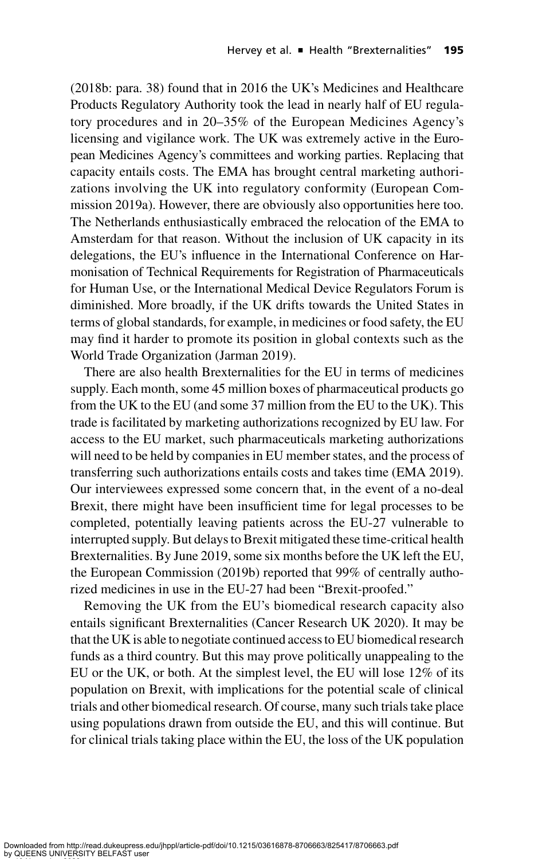(2018b: para. 38) found that in 2016 the UK's Medicines and Healthcare Products Regulatory Authority took the lead in nearly half of EU regulatory procedures and in 20–35% of the European Medicines Agency's licensing and vigilance work. The UK was extremely active in the European Medicines Agency's committees and working parties. Replacing that capacity entails costs. The EMA has brought central marketing authorizations involving the UK into regulatory conformity (European Commission 2019a). However, there are obviously also opportunities here too. The Netherlands enthusiastically embraced the relocation of the EMA to Amsterdam for that reason. Without the inclusion of UK capacity in its delegations, the EU's influence in the International Conference on Harmonisation of Technical Requirements for Registration of Pharmaceuticals for Human Use, or the International Medical Device Regulators Forum is diminished. More broadly, if the UK drifts towards the United States in terms of global standards, for example, in medicines or food safety, the EU may find it harder to promote its position in global contexts such as the World Trade Organization (Jarman 2019).

There are also health Brexternalities for the EU in terms of medicines supply. Each month, some 45 million boxes of pharmaceutical products go from the UK to the EU (and some 37 million from the EU to the UK). This trade is facilitated by marketing authorizations recognized by EU law. For access to the EU market, such pharmaceuticals marketing authorizations will need to be held by companies in EU member states, and the process of transferring such authorizations entails costs and takes time (EMA 2019). Our interviewees expressed some concern that, in the event of a no-deal Brexit, there might have been insufficient time for legal processes to be completed, potentially leaving patients across the EU-27 vulnerable to interrupted supply. But delays to Brexit mitigated these time-critical health Brexternalities. By June 2019, some six months before the UK left the EU, the European Commission (2019b) reported that 99% of centrally authorized medicines in use in the EU-27 had been "Brexit-proofed."

Removing the UK from the EU's biomedical research capacity also entails significant Brexternalities (Cancer Research UK 2020). It may be that the UK is able to negotiate continued access to EU biomedical research funds as a third country. But this may prove politically unappealing to the EU or the UK, or both. At the simplest level, the EU will lose 12% of its population on Brexit, with implications for the potential scale of clinical trials and other biomedical research. Of course, many such trials take place using populations drawn from outside the EU, and this will continue. But for clinical trials taking place within the EU, the loss of the UK population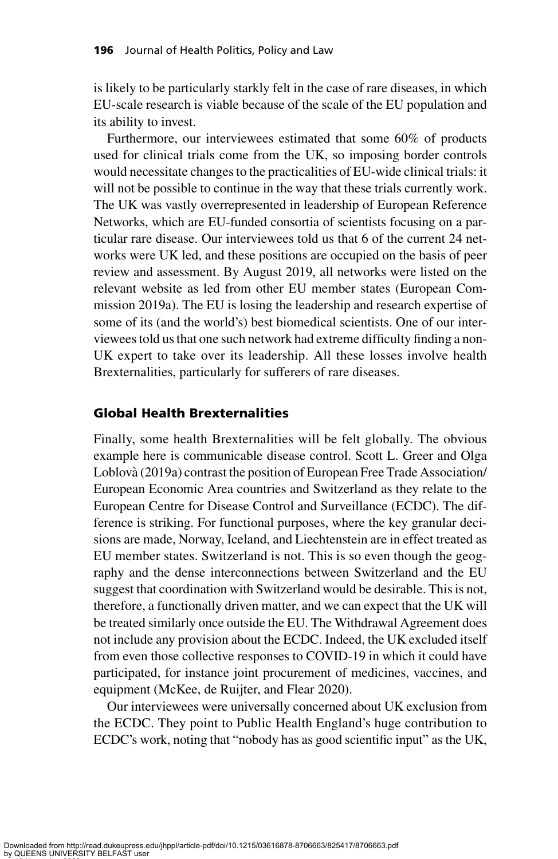is likely to be particularly starkly felt in the case of rare diseases, in which EU-scale research is viable because of the scale of the EU population and its ability to invest.

Furthermore, our interviewees estimated that some 60% of products used for clinical trials come from the UK, so imposing border controls would necessitate changes to the practicalities of EU-wide clinical trials: it will not be possible to continue in the way that these trials currently work. The UK was vastly overrepresented in leadership of European Reference Networks, which are EU-funded consortia of scientists focusing on a particular rare disease. Our interviewees told us that 6 of the current 24 networks were UK led, and these positions are occupied on the basis of peer review and assessment. By August 2019, all networks were listed on the relevant website as led from other EU member states (European Commission 2019a). The EU is losing the leadership and research expertise of some of its (and the world's) best biomedical scientists. One of our interviewees told us that one such network had extreme difficulty finding a non-UK expert to take over its leadership. All these losses involve health Brexternalities, particularly for sufferers of rare diseases.

#### Global Health Brexternalities

Finally, some health Brexternalities will be felt globally. The obvious example here is communicable disease control. Scott L. Greer and Olga Loblova` (2019a) contrast the position of European Free Trade Association/ European Economic Area countries and Switzerland as they relate to the European Centre for Disease Control and Surveillance (ECDC). The difference is striking. For functional purposes, where the key granular decisions are made, Norway, Iceland, and Liechtenstein are in effect treated as EU member states. Switzerland is not. This is so even though the geography and the dense interconnections between Switzerland and the EU suggest that coordination with Switzerland would be desirable. This is not, therefore, a functionally driven matter, and we can expect that the UK will be treated similarly once outside the EU. The Withdrawal Agreement does not include any provision about the ECDC. Indeed, the UK excluded itself from even those collective responses to COVID-19 in which it could have participated, for instance joint procurement of medicines, vaccines, and equipment (McKee, de Ruijter, and Flear 2020).

Our interviewees were universally concerned about UK exclusion from the ECDC. They point to Public Health England's huge contribution to ECDC's work, noting that "nobody has as good scientific input" as the UK,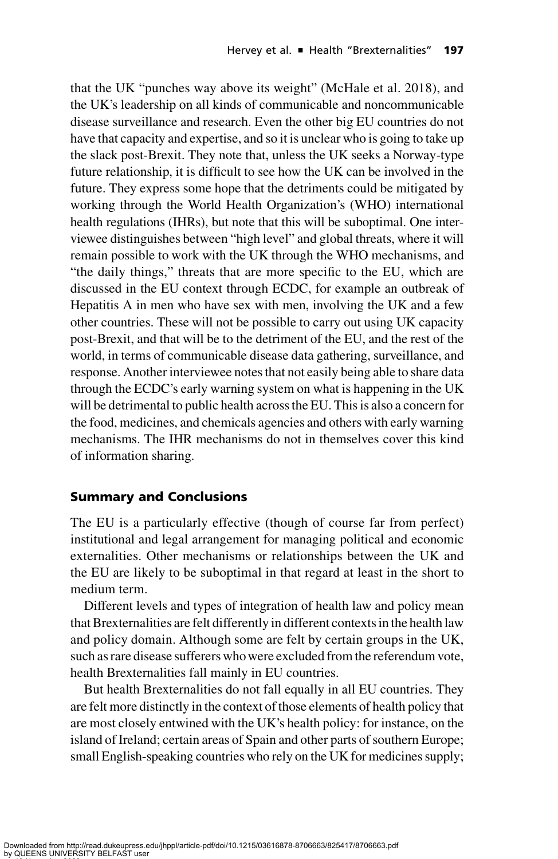that the UK "punches way above its weight" (McHale et al. 2018), and the UK's leadership on all kinds of communicable and noncommunicable disease surveillance and research. Even the other big EU countries do not have that capacity and expertise, and so it is unclear who is going to take up the slack post-Brexit. They note that, unless the UK seeks a Norway-type future relationship, it is difficult to see how the UK can be involved in the future. They express some hope that the detriments could be mitigated by working through the World Health Organization's (WHO) international health regulations (IHRs), but note that this will be suboptimal. One interviewee distinguishes between "high level" and global threats, where it will remain possible to work with the UK through the WHO mechanisms, and "the daily things," threats that are more specific to the EU, which are discussed in the EU context through ECDC, for example an outbreak of Hepatitis A in men who have sex with men, involving the UK and a few other countries. These will not be possible to carry out using UK capacity post-Brexit, and that will be to the detriment of the EU, and the rest of the world, in terms of communicable disease data gathering, surveillance, and response. Another interviewee notes that not easily being able to share data through the ECDC's early warning system on what is happening in the UK will be detrimental to public health across the EU. This is also a concern for the food, medicines, and chemicals agencies and others with early warning mechanisms. The IHR mechanisms do not in themselves cover this kind of information sharing.

## Summary and Conclusions

The EU is a particularly effective (though of course far from perfect) institutional and legal arrangement for managing political and economic externalities. Other mechanisms or relationships between the UK and the EU are likely to be suboptimal in that regard at least in the short to medium term.

Different levels and types of integration of health law and policy mean that Brexternalities are felt differently in different contexts in the health law and policy domain. Although some are felt by certain groups in the UK, such as rare disease sufferers whowere excluded from the referendum vote, health Brexternalities fall mainly in EU countries.

But health Brexternalities do not fall equally in all EU countries. They are felt more distinctly in the context of those elements of health policy that are most closely entwined with the UK's health policy: for instance, on the island of Ireland; certain areas of Spain and other parts of southern Europe; small English-speaking countries who rely on the UK for medicines supply;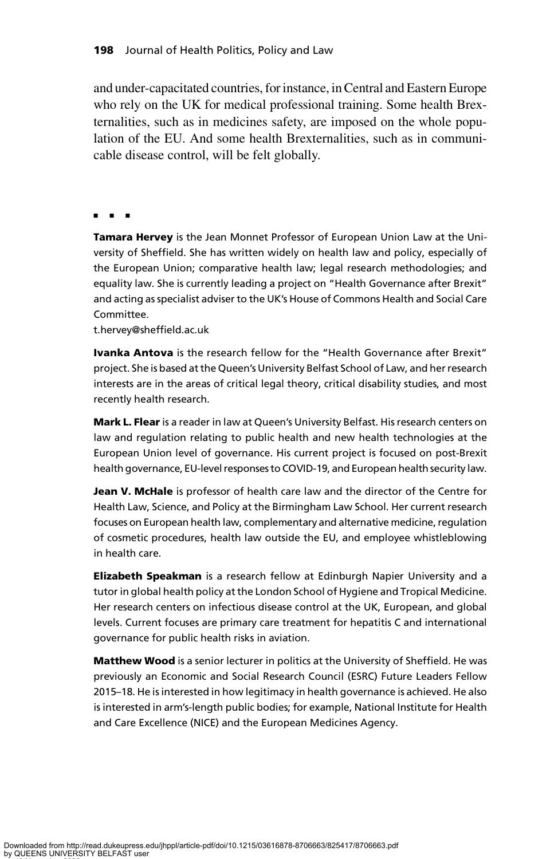and under-capacitated countries, for instance, in Central and Eastern Europe who rely on the UK for medical professional training. Some health Brexternalities, such as in medicines safety, are imposed on the whole population of the EU. And some health Brexternalities, such as in communicable disease control, will be felt globally.

nnn

Tamara Hervey is the Jean Monnet Professor of European Union Law at the University of Sheffield. She has written widely on health law and policy, especially of the European Union; comparative health law; legal research methodologies; and equality law. She is currently leading a project on "Health Governance after Brexit" and acting as specialist adviser to the UK's House of Commons Health and Social Care Committee.

t.hervey@sheffield.ac.uk

**Ivanka Antova** is the research fellow for the "Health Governance after Brexit" project. She is based at the Queen's University Belfast School of Law, and her research interests are in the areas of critical legal theory, critical disability studies, and most recently health research.

Mark L. Flear is a reader in law at Queen's University Belfast. His research centers on law and regulation relating to public health and new health technologies at the European Union level of governance. His current project is focused on post-Brexit health governance, EU-level responses to COVID-19, and European health security law.

Jean V. McHale is professor of health care law and the director of the Centre for Health Law, Science, and Policy at the Birmingham Law School. Her current research focuses on European health law, complementary and alternative medicine, regulation of cosmetic procedures, health law outside the EU, and employee whistleblowing in health care.

**Elizabeth Speakman** is a research fellow at Edinburgh Napier University and a tutor in global health policy at the London School of Hygiene and Tropical Medicine. Her research centers on infectious disease control at the UK, European, and global levels. Current focuses are primary care treatment for hepatitis C and international governance for public health risks in aviation.

Matthew Wood is a senior lecturer in politics at the University of Sheffield. He was previously an Economic and Social Research Council (ESRC) Future Leaders Fellow 2015–18. He is interested in how legitimacy in health governance is achieved. He also is interested in arm's-length public bodies; for example, National Institute for Health and Care Excellence (NICE) and the European Medicines Agency.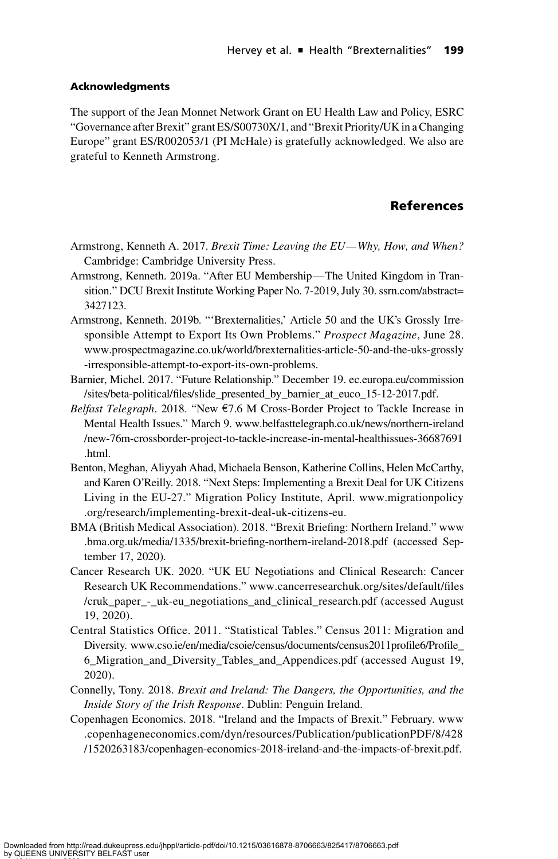#### **Acknowledaments**

The support of the Jean Monnet Network Grant on EU Health Law and Policy, ESRC "Governance after Brexit" grant ES/S00730X/1, and "Brexit Priority/UK in a Changing Europe" grant ES/R002053/1 (PI McHale) is gratefully acknowledged. We also are grateful to Kenneth Armstrong.

#### References

- Armstrong, Kenneth A. 2017. Brexit Time: Leaving the EU—Why, How, and When? Cambridge: Cambridge University Press.
- Armstrong, Kenneth. 2019a. "After EU Membership—The United Kingdom in Transition." DCU Brexit Institute Working Paper No. 7-2019, July 30. [ssrn.com/abstract=](http://ssrn.com/abstract=3427123) [3427123.](http://ssrn.com/abstract=3427123)
- Armstrong, Kenneth. 2019b. "'Brexternalities,' Article 50 and the UK's Grossly Irresponsible Attempt to Export Its Own Problems." Prospect Magazine, June 28. [www.prospectmagazine.co.uk/world/brexternalities-article-50-and-the-uks-grossly](http://www.prospectmagazine.co.uk/world/brexternalities-article-50-and-the-uks-grossly-irresponsible-attempt-to-export-its-own-problems) [-irresponsible-attempt-to-export-its-own-problems](http://www.prospectmagazine.co.uk/world/brexternalities-article-50-and-the-uks-grossly-irresponsible-attempt-to-export-its-own-problems).
- Barnier, Michel. 2017. "Future Relationship." December 19. [ec.europa.eu/commission](http://ec.europa.eu/commission/sites/beta-political/files/slide_presented_by_barnier_at_euco_15-12-2017.pdf) [/sites/beta-political/files/slide\\_presented\\_by\\_barnier\\_at\\_euco\\_15-12-2017.pdf.](http://ec.europa.eu/commission/sites/beta-political/files/slide_presented_by_barnier_at_euco_15-12-2017.pdf)
- *Belfast Telegraph.* 2018. "New  $\epsilon$ 7.6 M Cross-Border Project to Tackle Increase in Mental Health Issues." March 9. [www.belfasttelegraph.co.uk/news/northern-ireland](http://www.belfasttelegraph.co.uk/news/northern-ireland/new-76m-crossborder-project-to-tackle-increase-in-mental-healthissues-36687691.html) [/new-76m-crossborder-project-to-tackle-increase-in-mental-healthissues-36687691](http://www.belfasttelegraph.co.uk/news/northern-ireland/new-76m-crossborder-project-to-tackle-increase-in-mental-healthissues-36687691.html) [.html.](http://www.belfasttelegraph.co.uk/news/northern-ireland/new-76m-crossborder-project-to-tackle-increase-in-mental-healthissues-36687691.html)
- Benton, Meghan, Aliyyah Ahad, Michaela Benson, Katherine Collins, Helen McCarthy, and Karen O'Reilly. 2018. "Next Steps: Implementing a Brexit Deal for UK Citizens Living in the EU-27." Migration Policy Institute, April. [www.migrationpolicy](http://www.migrationpolicy.org/research/implementing-brexit-deal-uk-citizens-eu) [.org/research/implementing-brexit-deal-uk-citizens-eu](http://www.migrationpolicy.org/research/implementing-brexit-deal-uk-citizens-eu).
- BMA (British Medical Association). 2018. "Brexit Briefing: Northern Ireland." [www](http://www.bma.org.uk/media/1335/brexit-briefing-northern-ireland-2018.pdf) [.bma.org.uk/media/1335/brexit-briefing-northern-ireland-2018.pdf](http://www.bma.org.uk/media/1335/brexit-briefing-northern-ireland-2018.pdf) (accessed September 17, 2020).
- Cancer Research UK. 2020. "UK EU Negotiations and Clinical Research: Cancer Research UK Recommendations." [www.cancerresearchuk.org/sites/default/files](http://www.cancerresearchuk.org/sites/default/files/cruk_paper_-_uk-eu_negotiations_and_clinical_research.pdf) [/cruk\\_paper\\_-\\_uk-eu\\_negotiations\\_and\\_clinical\\_research.pdf](http://www.cancerresearchuk.org/sites/default/files/cruk_paper_-_uk-eu_negotiations_and_clinical_research.pdf) (accessed August 19, 2020).
- Central Statistics Office. 2011. "Statistical Tables." Census 2011: Migration and Diversity. [www.cso.ie/en/media/csoie/census/documents/census2011profile6/Profile\\_](http://www.cso.ie/en/media/csoie/census/documents/census2011profile6/Profile_6_Migration_and_Diversity_Tables_and_Appendices.pdf) [6\\_Migration\\_and\\_Diversity\\_Tables\\_and\\_Appendices.pdf](http://www.cso.ie/en/media/csoie/census/documents/census2011profile6/Profile_6_Migration_and_Diversity_Tables_and_Appendices.pdf) (accessed August 19, 2020).
- Connelly, Tony. 2018. Brexit and Ireland: The Dangers, the Opportunities, and the Inside Story of the Irish Response. Dublin: Penguin Ireland.
- Copenhagen Economics. 2018. "Ireland and the Impacts of Brexit." February. [www](http://www.copenhageneconomics.com/dyn/resources/Publication/publicationPDF/8/428/1520263183/copenhagen-economics-2018-ireland-and-the-impacts-of-brexit.pdf) [.copenhageneconomics.com/dyn/resources/Publication/publicationPDF/8/428](http://www.copenhageneconomics.com/dyn/resources/Publication/publicationPDF/8/428/1520263183/copenhagen-economics-2018-ireland-and-the-impacts-of-brexit.pdf) [/1520263183/copenhagen-economics-2018-ireland-and-the-impacts-of-brexit.pdf.](http://www.copenhageneconomics.com/dyn/resources/Publication/publicationPDF/8/428/1520263183/copenhagen-economics-2018-ireland-and-the-impacts-of-brexit.pdf)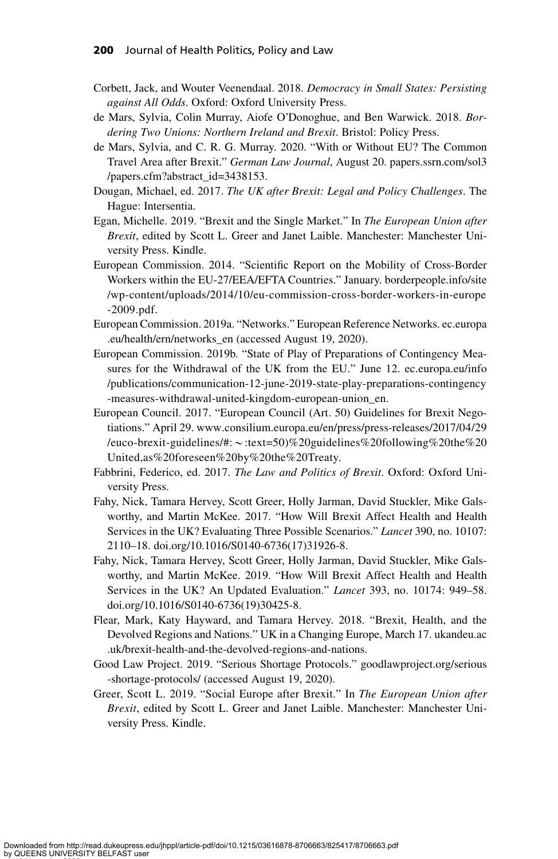- Corbett, Jack, and Wouter Veenendaal. 2018. Democracy in Small States: Persisting against All Odds. Oxford: Oxford University Press.
- de Mars, Sylvia, Colin Murray, Aiofe O'Donoghue, and Ben Warwick. 2018. Bordering Two Unions: Northern Ireland and Brexit. Bristol: Policy Press.
- de Mars, Sylvia, and C. R. G. Murray. 2020. "With or Without EU? The Common Travel Area after Brexit." German Law Journal, August 20. [papers.ssrn.com/sol3](http://papers.ssrn.com/sol3/papers.cfm?abstract_id=3438153) [/papers.cfm?abstract\\_id=3438153](http://papers.ssrn.com/sol3/papers.cfm?abstract_id=3438153).
- Dougan, Michael, ed. 2017. The UK after Brexit: Legal and Policy Challenges. The Hague: Intersentia.
- Egan, Michelle. 2019. "Brexit and the Single Market." In The European Union after Brexit, edited by Scott L. Greer and Janet Laible. Manchester: Manchester University Press. Kindle.
- European Commission. 2014. "Scientific Report on the Mobility of Cross-Border Workers within the EU-27/EEA/EFTA Countries." January. [borderpeople.info/site](http://borderpeople.info/site/wp-content/uploads/2014/10/eu-commission-cross-border-workers-in-europe-2009.pdf) [/wp-content/uploads/2014/10/eu-commission-cross-border-workers-in-europe](http://borderpeople.info/site/wp-content/uploads/2014/10/eu-commission-cross-border-workers-in-europe-2009.pdf) [-2009.pdf.](http://borderpeople.info/site/wp-content/uploads/2014/10/eu-commission-cross-border-workers-in-europe-2009.pdf)
- European Commission. 2019a. "Networks." European Reference Networks. [ec.europa](http://ec.europa.eu/health/ern/networks_en) [.eu/health/ern/networks\\_en](http://ec.europa.eu/health/ern/networks_en) (accessed August 19, 2020).
- European Commission. 2019b. "State of Play of Preparations of Contingency Measures for the Withdrawal of the UK from the EU." June 12. [ec.europa.eu/info](http://ec.europa.eu/info/publications/communication-12-june-2019-state-play-preparations-contingency-measures-withdrawal-united-kingdom-european-union_en) [/publications/communication-12-june-2019-state-play-preparations-contingency](http://ec.europa.eu/info/publications/communication-12-june-2019-state-play-preparations-contingency-measures-withdrawal-united-kingdom-european-union_en) [-measures-withdrawal-united-kingdom-european-union\\_en](http://ec.europa.eu/info/publications/communication-12-june-2019-state-play-preparations-contingency-measures-withdrawal-united-kingdom-european-union_en).
- European Council. 2017. "European Council (Art. 50) Guidelines for Brexit Negotiations." April 29. [www.consilium.europa.eu/en/press/press-releases/2017/04/29](http://www.consilium.europa.eu/en/press/press-releases/2017/04/29/euco-brexit-guidelines/#:~:text=50)%20guidelines%20following%20the%20United,as%20foreseen%20by%20the%20Treaty) /euco-brexit-guidelines/#: ~[:text=50\)%20guidelines%20following%20the%20](http://www.consilium.europa.eu/en/press/press-releases/2017/04/29/euco-brexit-guidelines/#:~:text=50)%20guidelines%20following%20the%20United,as%20foreseen%20by%20the%20Treaty) [United,as%20foreseen%20by%20the%20Treaty.](http://www.consilium.europa.eu/en/press/press-releases/2017/04/29/euco-brexit-guidelines/#:~:text=50)%20guidelines%20following%20the%20United,as%20foreseen%20by%20the%20Treaty)
- Fabbrini, Federico, ed. 2017. The Law and Politics of Brexit. Oxford: Oxford University Press.
- Fahy, Nick, Tamara Hervey, Scott Greer, Holly Jarman, David Stuckler, Mike Galsworthy, and Martin McKee. 2017. "How Will Brexit Affect Health and Health Services in the UK? Evaluating Three Possible Scenarios." Lancet 390, no. 10107: 2110–18. doi.org/10.1016/S0140-6736(17)31926-8.
- Fahy, Nick, Tamara Hervey, Scott Greer, Holly Jarman, David Stuckler, Mike Galsworthy, and Martin McKee. 2019. "How Will Brexit Affect Health and Health Services in the UK? An Updated Evaluation." Lancet 393, no. 10174: 949–58. doi.org/10.1016/S0140-6736(19)30425-8.
- Flear, Mark, Katy Hayward, and Tamara Hervey. 2018. "Brexit, Health, and the Devolved Regions and Nations." UK in a Changing Europe, March 17. [ukandeu.ac](http://ukandeu.ac.uk/brexit-health-and-the-devolved-regions-and-nations) [.uk/brexit-health-and-the-devolved-regions-and-nations.](http://ukandeu.ac.uk/brexit-health-and-the-devolved-regions-and-nations)
- Good Law Project. 2019. "Serious Shortage Protocols." [goodlawproject.org/serious](http://goodlawproject.org/serious-shortage-protocols/) [-shortage-protocols/](http://goodlawproject.org/serious-shortage-protocols/) (accessed August 19, 2020).
- Greer, Scott L. 2019. "Social Europe after Brexit." In The European Union after Brexit, edited by Scott L. Greer and Janet Laible. Manchester: Manchester University Press. Kindle.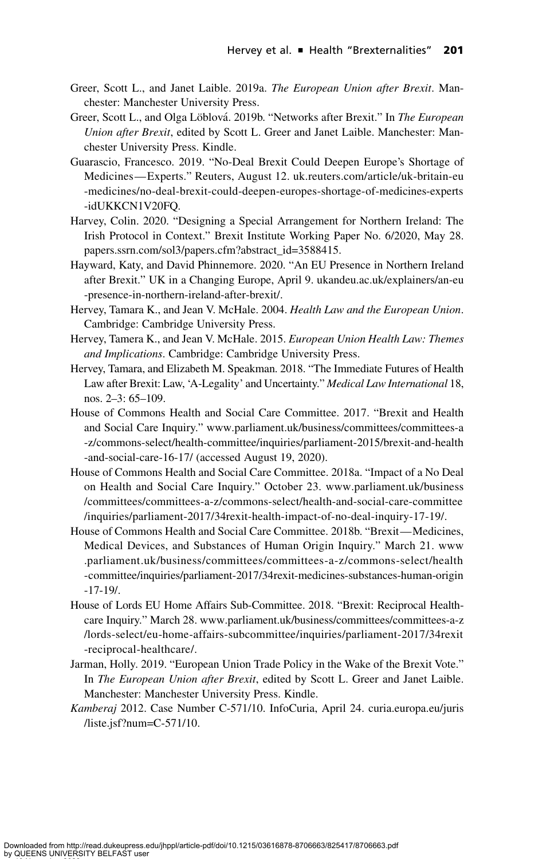- Greer, Scott L., and Janet Laible. 2019a. The European Union after Brexit. Manchester: Manchester University Press.
- Greer, Scott L., and Olga Löblová. 2019b. "Networks after Brexit." In The European Union after Brexit, edited by Scott L. Greer and Janet Laible. Manchester: Manchester University Press. Kindle.
- Guarascio, Francesco. 2019. "No-Deal Brexit Could Deepen Europe's Shortage of Medicines—Experts." Reuters, August 12. [uk.reuters.com/article/uk-britain-eu](http://uk.reuters.com/article/uk-britain-eu-medicines/no-deal-brexit-could-deepen-europes-shortage-of-medicines-experts-idUKKCN1V20FQ) [-medicines/no-deal-brexit-could-deepen-europes-shortage-of-medicines-experts](http://uk.reuters.com/article/uk-britain-eu-medicines/no-deal-brexit-could-deepen-europes-shortage-of-medicines-experts-idUKKCN1V20FQ) [-idUKKCN1V20FQ.](http://uk.reuters.com/article/uk-britain-eu-medicines/no-deal-brexit-could-deepen-europes-shortage-of-medicines-experts-idUKKCN1V20FQ)
- Harvey, Colin. 2020. "Designing a Special Arrangement for Northern Ireland: The Irish Protocol in Context." Brexit Institute Working Paper No. 6/2020, May 28. [papers.ssrn.com/sol3/papers.cfm?abstract\\_id=3588415.](http://papers.ssrn.com/sol3/papers.cfm?abstract_id=3588415)
- Hayward, Katy, and David Phinnemore. 2020. "An EU Presence in Northern Ireland after Brexit." UK in a Changing Europe, April 9. [ukandeu.ac.uk/explainers/an-eu](http://ukandeu.ac.uk/explainers/an-eu-presence-in-northern-ireland-after-brexit/) [-presence-in-northern-ireland-after-brexit/](http://ukandeu.ac.uk/explainers/an-eu-presence-in-northern-ireland-after-brexit/).
- Hervey, Tamara K., and Jean V. McHale. 2004. Health Law and the European Union. Cambridge: Cambridge University Press.
- Hervey, Tamera K., and Jean V. McHale. 2015. European Union Health Law: Themes and Implications. Cambridge: Cambridge University Press.
- Hervey, Tamara, and Elizabeth M. Speakman. 2018. "The Immediate Futures of Health Law after Brexit: Law, 'A-Legality' and Uncertainty." Medical Law International 18, nos. 2–3: 65–109.
- House of Commons Health and Social Care Committee. 2017. "Brexit and Health and Social Care Inquiry." [www.parliament.uk/business/committees/committees-a](http://www.parliament.uk/business/committees/committees-a-z/commons-select/health-committee/inquiries/parliament-2015/brexit-and-health-and-social-care-16-17/) [-z/commons-select/health-committee/inquiries/parliament-2015/brexit-and-health](http://www.parliament.uk/business/committees/committees-a-z/commons-select/health-committee/inquiries/parliament-2015/brexit-and-health-and-social-care-16-17/) [-and-social-care-16-17/](http://www.parliament.uk/business/committees/committees-a-z/commons-select/health-committee/inquiries/parliament-2015/brexit-and-health-and-social-care-16-17/) (accessed August 19, 2020).
- House of Commons Health and Social Care Committee. 2018a. "Impact of a No Deal on Health and Social Care Inquiry." October 23. [www.parliament.uk/business](http://www.parliament.uk/business/committees/committees-a-z/commons-select/health-and-social-care-committee/inquiries/parliament-2017/34rexit-health-impact-of-no-deal-inquiry-17-19/) [/committees/committees-a-z/commons-select/health-and-social-care-committee](http://www.parliament.uk/business/committees/committees-a-z/commons-select/health-and-social-care-committee/inquiries/parliament-2017/34rexit-health-impact-of-no-deal-inquiry-17-19/) [/inquiries/parliament-2017/34rexit-health-impact-of-no-deal-inquiry-17-19/](http://www.parliament.uk/business/committees/committees-a-z/commons-select/health-and-social-care-committee/inquiries/parliament-2017/34rexit-health-impact-of-no-deal-inquiry-17-19/).
- House of Commons Health and Social Care Committee. 2018b. "Brexit—Medicines, Medical Devices, and Substances of Human Origin Inquiry." March 21. [www](http://www.parliament.uk/business/committees/committees-a-z/commons-select/health-committee/inquiries/parliament-2017/34rexit-medicines-substances-human-origin-17-19/) [.parliament.uk/business/committees/committees-a-z/commons-select/health](http://www.parliament.uk/business/committees/committees-a-z/commons-select/health-committee/inquiries/parliament-2017/34rexit-medicines-substances-human-origin-17-19/) [-committee/inquiries/parliament-2017/34rexit-medicines-substances-human-origin](http://www.parliament.uk/business/committees/committees-a-z/commons-select/health-committee/inquiries/parliament-2017/34rexit-medicines-substances-human-origin-17-19/) [-17-19/](http://www.parliament.uk/business/committees/committees-a-z/commons-select/health-committee/inquiries/parliament-2017/34rexit-medicines-substances-human-origin-17-19/).
- House of Lords EU Home Affairs Sub-Committee. 2018. "Brexit: Reciprocal Healthcare Inquiry." March 28. [www.parliament.uk/business/committees/committees-a-z](http://www.parliament.uk/business/committees/committees-a-z/lords-select/eu-home-affairs-subcommittee/inquiries/parliament-2017/34rexit-reciprocal-healthcare/) [/lords-select/eu-home-affairs-subcommittee/inquiries/parliament-2017/34rexit](http://www.parliament.uk/business/committees/committees-a-z/lords-select/eu-home-affairs-subcommittee/inquiries/parliament-2017/34rexit-reciprocal-healthcare/) [-reciprocal-healthcare/.](http://www.parliament.uk/business/committees/committees-a-z/lords-select/eu-home-affairs-subcommittee/inquiries/parliament-2017/34rexit-reciprocal-healthcare/)
- Jarman, Holly. 2019. "European Union Trade Policy in the Wake of the Brexit Vote." In The European Union after Brexit, edited by Scott L. Greer and Janet Laible. Manchester: Manchester University Press. Kindle.
- Kamberaj 2012. Case Number C-571/10. InfoCuria, April 24. [curia.europa.eu/juris](http://curia.europa.eu/juris/liste.jsf?num=C-571/10) [/liste.jsf?num=C-571/10.](http://curia.europa.eu/juris/liste.jsf?num=C-571/10)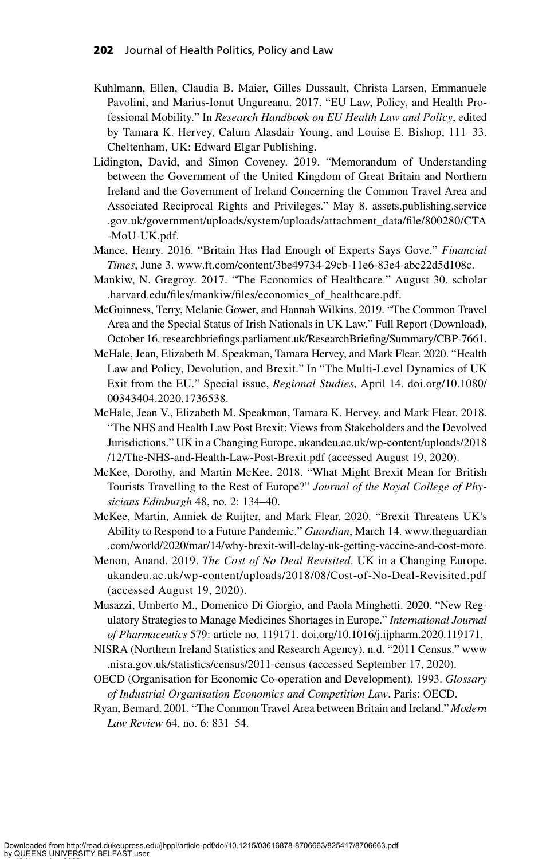- Kuhlmann, Ellen, Claudia B. Maier, Gilles Dussault, Christa Larsen, Emmanuele Pavolini, and Marius-Ionut Ungureanu. 2017. "EU Law, Policy, and Health Professional Mobility." In Research Handbook on EU Health Law and Policy, edited by Tamara K. Hervey, Calum Alasdair Young, and Louise E. Bishop, 111–33. Cheltenham, UK: Edward Elgar Publishing.
- Lidington, David, and Simon Coveney. 2019. "Memorandum of Understanding between the Government of the United Kingdom of Great Britain and Northern Ireland and the Government of Ireland Concerning the Common Travel Area and Associated Reciprocal Rights and Privileges." May 8. [assets.publishing.service](http://assets.publishing.service.gov.uk/government/uploads/system/uploads/attachment_data/file/800280/CTA-MoU-UK.pdf) [.gov.uk/government/uploads/system/uploads/attachment\\_data/file/800280/CTA](http://assets.publishing.service.gov.uk/government/uploads/system/uploads/attachment_data/file/800280/CTA-MoU-UK.pdf) [-MoU-UK.pdf.](http://assets.publishing.service.gov.uk/government/uploads/system/uploads/attachment_data/file/800280/CTA-MoU-UK.pdf)
- Mance, Henry. 2016. "Britain Has Had Enough of Experts Says Gove." Financial Times, June 3. [www.ft.com/content/3be49734-29cb-11e6-83e4-abc22d5d108c.](http://www.ft.com/content/3be49734-29cb-11e6-83e4-abc22d5d108c)
- Mankiw, N. Gregroy. 2017. "The Economics of Healthcare." August 30. [scholar](http://scholar.harvard.edu/files/mankiw/files/economics_of_healthcare.pdf) [.harvard.edu/files/mankiw/files/economics\\_of\\_healthcare.pdf](http://scholar.harvard.edu/files/mankiw/files/economics_of_healthcare.pdf).
- McGuinness, Terry, Melanie Gower, and Hannah Wilkins. 2019. "The Common Travel Area and the Special Status of Irish Nationals in UK Law." Full Report (Download), October 16. [researchbriefings.parliament.uk/ResearchBriefing/Summary/CBP-7661](http://researchbriefings.parliament.uk/ResearchBriefing/Summary/CBP-7661).
- McHale, Jean, Elizabeth M. Speakman, Tamara Hervey, and Mark Flear. 2020. "Health Law and Policy, Devolution, and Brexit." In "The Multi-Level Dynamics of UK Exit from the EU." Special issue, Regional Studies, April 14. doi.org/10.1080/ 00343404.2020.1736538.
- McHale, Jean V., Elizabeth M. Speakman, Tamara K. Hervey, and Mark Flear. 2018. "The NHS and Health Law Post Brexit: Views from Stakeholders and the Devolved Jurisdictions." UK in a Changing Europe. [ukandeu.ac.uk/wp-content/uploads/2018](http://ukandeu.ac.uk/wp-content/uploads/2018/12/The-NHS-and-Health-Law-Post-Brexit.pdf) [/12/The-NHS-and-Health-Law-Post-Brexit.pdf](http://ukandeu.ac.uk/wp-content/uploads/2018/12/The-NHS-and-Health-Law-Post-Brexit.pdf) (accessed August 19, 2020).
- McKee, Dorothy, and Martin McKee. 2018. "What Might Brexit Mean for British Tourists Travelling to the Rest of Europe?" Journal of the Royal College of Physicians Edinburgh 48, no. 2: 134–40.
- McKee, Martin, Anniek de Ruijter, and Mark Flear. 2020. "Brexit Threatens UK's Ability to Respond to a Future Pandemic." Guardian, March 14. [www.theguardian](http://www.theguardian.com/world/2020/mar/14/why-brexit-will-delay-uk-getting-vaccine-and-cost-more) [.com/world/2020/mar/14/why-brexit-will-delay-uk-getting-vaccine-and-cost-more.](http://www.theguardian.com/world/2020/mar/14/why-brexit-will-delay-uk-getting-vaccine-and-cost-more)
- Menon, Anand. 2019. The Cost of No Deal Revisited. UK in a Changing Europe. [ukandeu.ac.uk/wp-content/uploads/2018/08/Cost-of-No-Deal-Revisited.pdf](http://ukandeu.ac.uk/wp-content/uploads/2018/08/Cost-of-No-Deal-Revisited.pdf) (accessed August 19, 2020).
- Musazzi, Umberto M., Domenico Di Giorgio, and Paola Minghetti. 2020. "New Regulatory Strategies to Manage Medicines Shortages in Europe." International Journal of Pharmaceutics 579: article no. 119171. doi.org/10.1016/j.ijpharm.2020.119171.
- NISRA (Northern Ireland Statistics and Research Agency). n.d. "2011 Census." [www](http://www.nisra.gov.uk/statistics/census/2011-census) [.nisra.gov.uk/statistics/census/2011-census](http://www.nisra.gov.uk/statistics/census/2011-census) (accessed September 17, 2020).
- OECD (Organisation for Economic Co-operation and Development). 1993. Glossary of Industrial Organisation Economics and Competition Law. Paris: OECD.
- Ryan, Bernard. 2001. "The Common Travel Area between Britain and Ireland." Modern Law Review 64, no. 6: 831–54.